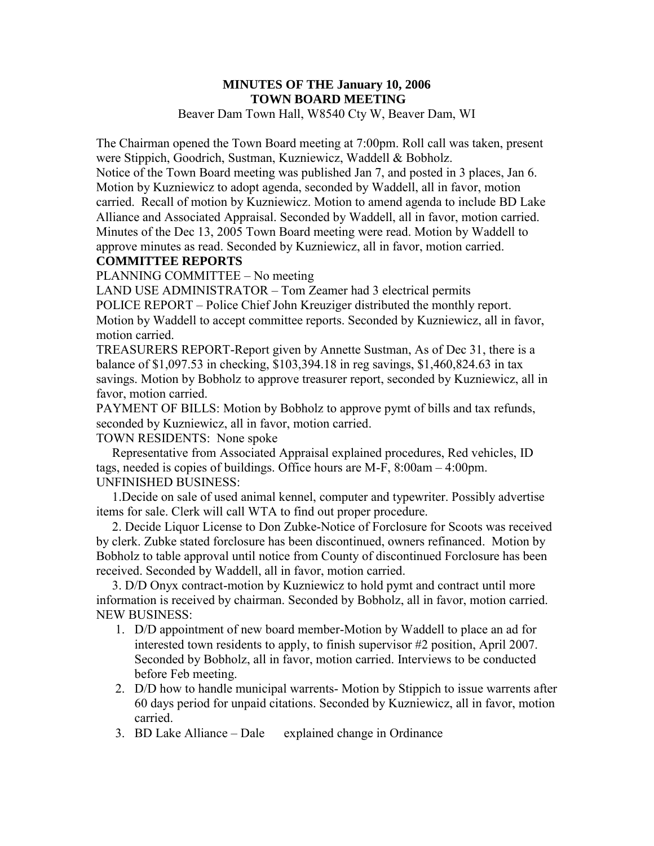#### **MINUTES OF THE January 10, 2006 TOWN BOARD MEETING**  Beaver Dam Town Hall, W8540 Cty W, Beaver Dam, WI

The Chairman opened the Town Board meeting at 7:00pm. Roll call was taken, present were Stippich, Goodrich, Sustman, Kuzniewicz, Waddell & Bobholz.

Notice of the Town Board meeting was published Jan 7, and posted in 3 places, Jan 6. Motion by Kuzniewicz to adopt agenda, seconded by Waddell, all in favor, motion carried. Recall of motion by Kuzniewicz. Motion to amend agenda to include BD Lake Alliance and Associated Appraisal. Seconded by Waddell, all in favor, motion carried. Minutes of the Dec 13, 2005 Town Board meeting were read. Motion by Waddell to approve minutes as read. Seconded by Kuzniewicz, all in favor, motion carried.

### **COMMITTEE REPORTS**

PLANNING COMMITTEE – No meeting

LAND USE ADMINISTRATOR – Tom Zeamer had 3 electrical permits POLICE REPORT – Police Chief John Kreuziger distributed the monthly report. Motion by Waddell to accept committee reports. Seconded by Kuzniewicz, all in favor, motion carried.

TREASURERS REPORT-Report given by Annette Sustman, As of Dec 31, there is a balance of \$1,097.53 in checking, \$103,394.18 in reg savings, \$1,460,824.63 in tax savings. Motion by Bobholz to approve treasurer report, seconded by Kuzniewicz, all in favor, motion carried.

PAYMENT OF BILLS: Motion by Bobholz to approve pymt of bills and tax refunds, seconded by Kuzniewicz, all in favor, motion carried.

TOWN RESIDENTS: None spoke

 Representative from Associated Appraisal explained procedures, Red vehicles, ID tags, needed is copies of buildings. Office hours are M-F, 8:00am – 4:00pm. UNFINISHED BUSINESS:

 1.Decide on sale of used animal kennel, computer and typewriter. Possibly advertise items for sale. Clerk will call WTA to find out proper procedure.

 2. Decide Liquor License to Don Zubke-Notice of Forclosure for Scoots was received by clerk. Zubke stated forclosure has been discontinued, owners refinanced. Motion by Bobholz to table approval until notice from County of discontinued Forclosure has been received. Seconded by Waddell, all in favor, motion carried.

 3. D/D Onyx contract-motion by Kuzniewicz to hold pymt and contract until more information is received by chairman. Seconded by Bobholz, all in favor, motion carried. NEW BUSINESS:

- 1. D/D appointment of new board member-Motion by Waddell to place an ad for interested town residents to apply, to finish supervisor #2 position, April 2007. Seconded by Bobholz, all in favor, motion carried. Interviews to be conducted before Feb meeting.
- 2. D/D how to handle municipal warrents- Motion by Stippich to issue warrents after 60 days period for unpaid citations. Seconded by Kuzniewicz, all in favor, motion carried.
- 3. BD Lake Alliance Dale explained change in Ordinance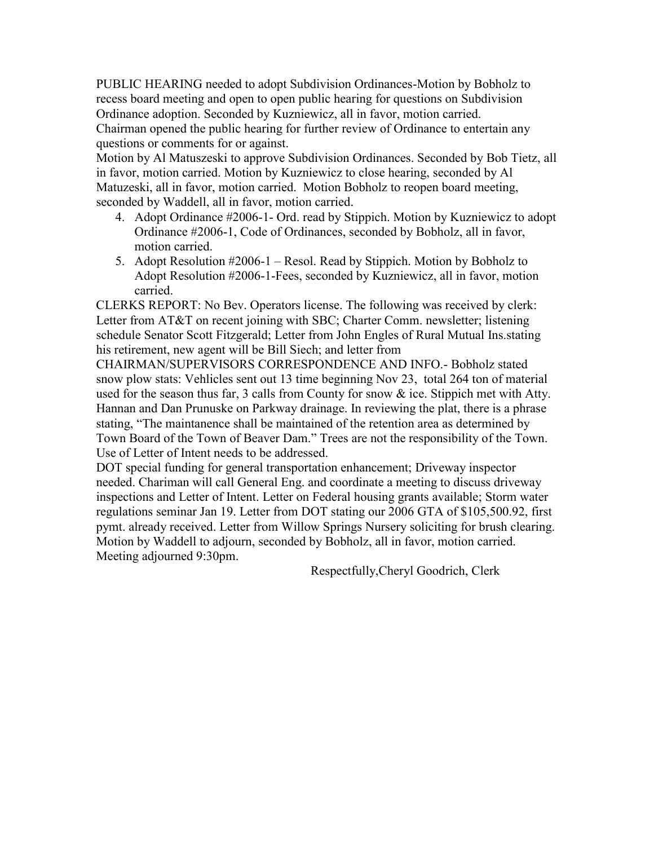PUBLIC HEARING needed to adopt Subdivision Ordinances-Motion by Bobholz to recess board meeting and open to open public hearing for questions on Subdivision Ordinance adoption. Seconded by Kuzniewicz, all in favor, motion carried. Chairman opened the public hearing for further review of Ordinance to entertain any questions or comments for or against.

Motion by Al Matuszeski to approve Subdivision Ordinances. Seconded by Bob Tietz, all in favor, motion carried. Motion by Kuzniewicz to close hearing, seconded by Al Matuzeski, all in favor, motion carried. Motion Bobholz to reopen board meeting, seconded by Waddell, all in favor, motion carried.

- 4. Adopt Ordinance #2006-1- Ord. read by Stippich. Motion by Kuzniewicz to adopt Ordinance #2006-1, Code of Ordinances, seconded by Bobholz, all in favor, motion carried.
- 5. Adopt Resolution #2006-1 Resol. Read by Stippich. Motion by Bobholz to Adopt Resolution #2006-1-Fees, seconded by Kuzniewicz, all in favor, motion carried.

CLERKS REPORT: No Bev. Operators license. The following was received by clerk: Letter from AT&T on recent joining with SBC; Charter Comm. newsletter; listening schedule Senator Scott Fitzgerald; Letter from John Engles of Rural Mutual Ins.stating his retirement, new agent will be Bill Siech; and letter from

CHAIRMAN/SUPERVISORS CORRESPONDENCE AND INFO.- Bobholz stated snow plow stats: Vehlicles sent out 13 time beginning Nov 23, total 264 ton of material used for the season thus far, 3 calls from County for snow & ice. Stippich met with Atty. Hannan and Dan Prunuske on Parkway drainage. In reviewing the plat, there is a phrase stating, "The maintanence shall be maintained of the retention area as determined by Town Board of the Town of Beaver Dam." Trees are not the responsibility of the Town. Use of Letter of Intent needs to be addressed.

DOT special funding for general transportation enhancement; Driveway inspector needed. Chariman will call General Eng. and coordinate a meeting to discuss driveway inspections and Letter of Intent. Letter on Federal housing grants available; Storm water regulations seminar Jan 19. Letter from DOT stating our 2006 GTA of \$105,500.92, first pymt. already received. Letter from Willow Springs Nursery soliciting for brush clearing. Motion by Waddell to adjourn, seconded by Bobholz, all in favor, motion carried. Meeting adjourned 9:30pm.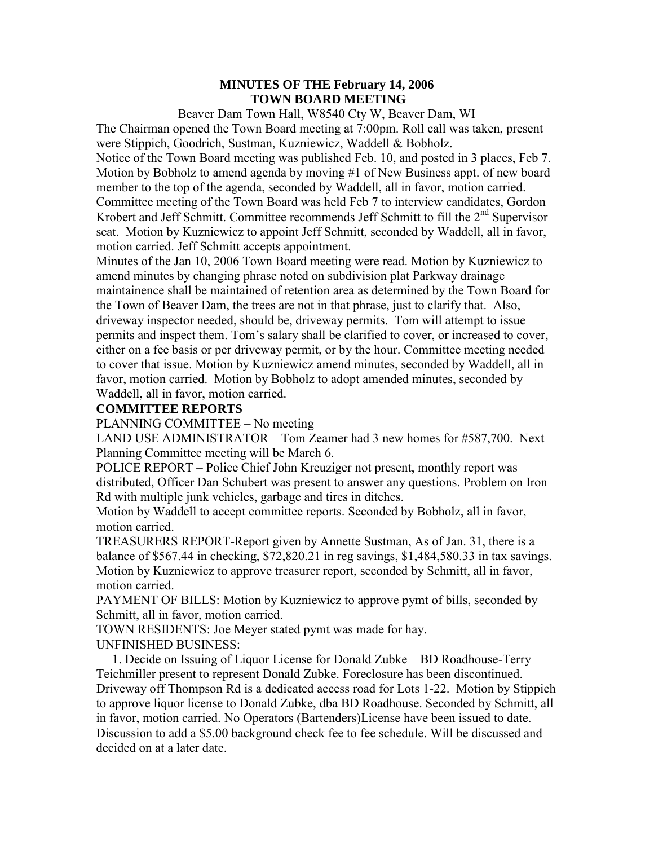### **MINUTES OF THE February 14, 2006 TOWN BOARD MEETING**

Beaver Dam Town Hall, W8540 Cty W, Beaver Dam, WI

The Chairman opened the Town Board meeting at 7:00pm. Roll call was taken, present were Stippich, Goodrich, Sustman, Kuzniewicz, Waddell & Bobholz.

Notice of the Town Board meeting was published Feb. 10, and posted in 3 places, Feb 7. Motion by Bobholz to amend agenda by moving #1 of New Business appt. of new board member to the top of the agenda, seconded by Waddell, all in favor, motion carried. Committee meeting of the Town Board was held Feb 7 to interview candidates, Gordon Krobert and Jeff Schmitt. Committee recommends Jeff Schmitt to fill the 2<sup>nd</sup> Supervisor seat. Motion by Kuzniewicz to appoint Jeff Schmitt, seconded by Waddell, all in favor,

motion carried. Jeff Schmitt accepts appointment.

Minutes of the Jan 10, 2006 Town Board meeting were read. Motion by Kuzniewicz to amend minutes by changing phrase noted on subdivision plat Parkway drainage maintainence shall be maintained of retention area as determined by the Town Board for the Town of Beaver Dam, the trees are not in that phrase, just to clarify that. Also, driveway inspector needed, should be, driveway permits. Tom will attempt to issue permits and inspect them. Tom's salary shall be clarified to cover, or increased to cover, either on a fee basis or per driveway permit, or by the hour. Committee meeting needed to cover that issue. Motion by Kuzniewicz amend minutes, seconded by Waddell, all in favor, motion carried. Motion by Bobholz to adopt amended minutes, seconded by Waddell, all in favor, motion carried.

### **COMMITTEE REPORTS**

PLANNING COMMITTEE – No meeting

LAND USE ADMINISTRATOR – Tom Zeamer had 3 new homes for #587,700. Next Planning Committee meeting will be March 6.

POLICE REPORT – Police Chief John Kreuziger not present, monthly report was distributed, Officer Dan Schubert was present to answer any questions. Problem on Iron Rd with multiple junk vehicles, garbage and tires in ditches.

Motion by Waddell to accept committee reports. Seconded by Bobholz, all in favor, motion carried.

TREASURERS REPORT-Report given by Annette Sustman, As of Jan. 31, there is a balance of \$567.44 in checking, \$72,820.21 in reg savings, \$1,484,580.33 in tax savings. Motion by Kuzniewicz to approve treasurer report, seconded by Schmitt, all in favor, motion carried.

PAYMENT OF BILLS: Motion by Kuzniewicz to approve pymt of bills, seconded by Schmitt, all in favor, motion carried.

TOWN RESIDENTS: Joe Meyer stated pymt was made for hay. UNFINISHED BUSINESS:

 1. Decide on Issuing of Liquor License for Donald Zubke – BD Roadhouse-Terry Teichmiller present to represent Donald Zubke. Foreclosure has been discontinued. Driveway off Thompson Rd is a dedicated access road for Lots 1-22. Motion by Stippich to approve liquor license to Donald Zubke, dba BD Roadhouse. Seconded by Schmitt, all in favor, motion carried. No Operators (Bartenders)License have been issued to date. Discussion to add a \$5.00 background check fee to fee schedule. Will be discussed and decided on at a later date.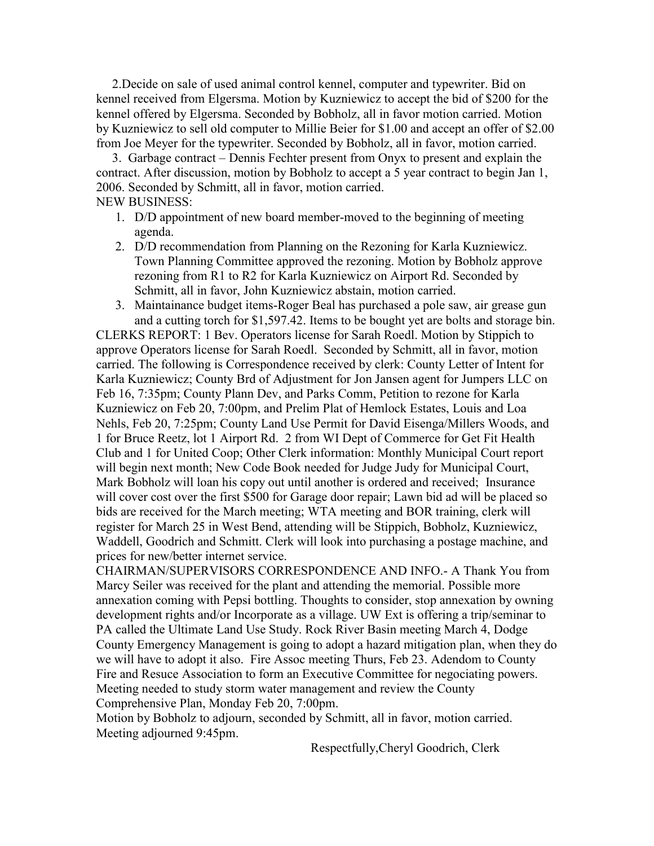2.Decide on sale of used animal control kennel, computer and typewriter. Bid on kennel received from Elgersma. Motion by Kuzniewicz to accept the bid of \$200 for the kennel offered by Elgersma. Seconded by Bobholz, all in favor motion carried. Motion by Kuzniewicz to sell old computer to Millie Beier for \$1.00 and accept an offer of \$2.00 from Joe Meyer for the typewriter. Seconded by Bobholz, all in favor, motion carried.

 3. Garbage contract – Dennis Fechter present from Onyx to present and explain the contract. After discussion, motion by Bobholz to accept a 5 year contract to begin Jan 1, 2006. Seconded by Schmitt, all in favor, motion carried. NEW BUSINESS:

- 1. D/D appointment of new board member-moved to the beginning of meeting agenda.
- 2. D/D recommendation from Planning on the Rezoning for Karla Kuzniewicz. Town Planning Committee approved the rezoning. Motion by Bobholz approve rezoning from R1 to R2 for Karla Kuzniewicz on Airport Rd. Seconded by Schmitt, all in favor, John Kuzniewicz abstain, motion carried.
- 3. Maintainance budget items-Roger Beal has purchased a pole saw, air grease gun and a cutting torch for \$1,597.42. Items to be bought yet are bolts and storage bin.

CLERKS REPORT: 1 Bev. Operators license for Sarah Roedl. Motion by Stippich to approve Operators license for Sarah Roedl. Seconded by Schmitt, all in favor, motion carried. The following is Correspondence received by clerk: County Letter of Intent for Karla Kuzniewicz; County Brd of Adjustment for Jon Jansen agent for Jumpers LLC on Feb 16, 7:35pm; County Plann Dev, and Parks Comm, Petition to rezone for Karla Kuzniewicz on Feb 20, 7:00pm, and Prelim Plat of Hemlock Estates, Louis and Loa Nehls, Feb 20, 7:25pm; County Land Use Permit for David Eisenga/Millers Woods, and 1 for Bruce Reetz, lot 1 Airport Rd. 2 from WI Dept of Commerce for Get Fit Health Club and 1 for United Coop; Other Clerk information: Monthly Municipal Court report will begin next month; New Code Book needed for Judge Judy for Municipal Court, Mark Bobholz will loan his copy out until another is ordered and received; Insurance will cover cost over the first \$500 for Garage door repair; Lawn bid ad will be placed so bids are received for the March meeting; WTA meeting and BOR training, clerk will register for March 25 in West Bend, attending will be Stippich, Bobholz, Kuzniewicz, Waddell, Goodrich and Schmitt. Clerk will look into purchasing a postage machine, and prices for new/better internet service.

CHAIRMAN/SUPERVISORS CORRESPONDENCE AND INFO.- A Thank You from Marcy Seiler was received for the plant and attending the memorial. Possible more annexation coming with Pepsi bottling. Thoughts to consider, stop annexation by owning development rights and/or Incorporate as a village. UW Ext is offering a trip/seminar to PA called the Ultimate Land Use Study. Rock River Basin meeting March 4, Dodge County Emergency Management is going to adopt a hazard mitigation plan, when they do we will have to adopt it also. Fire Assoc meeting Thurs, Feb 23. Adendom to County Fire and Resuce Association to form an Executive Committee for negociating powers. Meeting needed to study storm water management and review the County Comprehensive Plan, Monday Feb 20, 7:00pm.

Motion by Bobholz to adjourn, seconded by Schmitt, all in favor, motion carried. Meeting adjourned 9:45pm.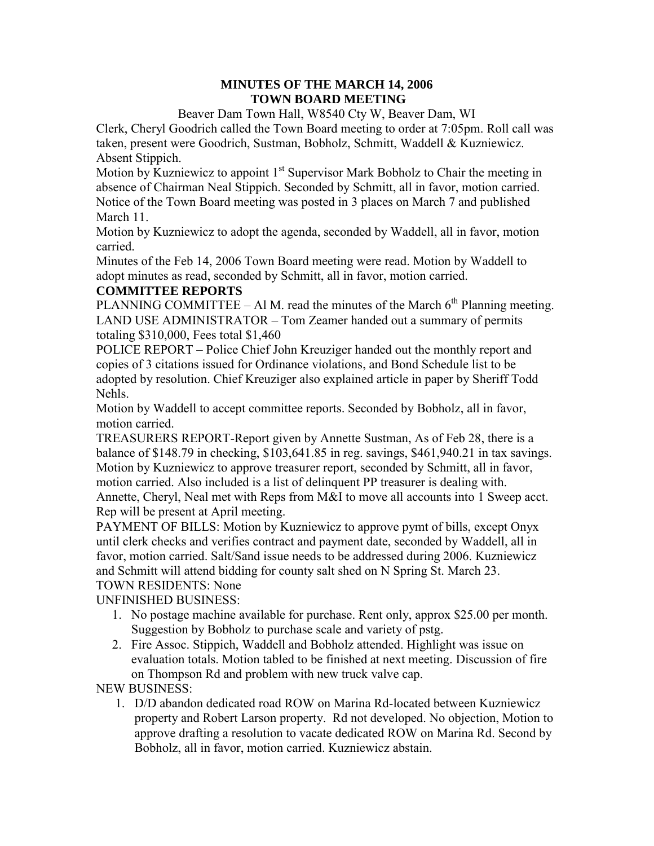### **MINUTES OF THE MARCH 14, 2006 TOWN BOARD MEETING**

## Beaver Dam Town Hall, W8540 Cty W, Beaver Dam, WI

Clerk, Cheryl Goodrich called the Town Board meeting to order at 7:05pm. Roll call was taken, present were Goodrich, Sustman, Bobholz, Schmitt, Waddell & Kuzniewicz. Absent Stippich.

Motion by Kuzniewicz to appoint  $1<sup>st</sup>$  Supervisor Mark Bobholz to Chair the meeting in absence of Chairman Neal Stippich. Seconded by Schmitt, all in favor, motion carried. Notice of the Town Board meeting was posted in 3 places on March 7 and published March 11.

Motion by Kuzniewicz to adopt the agenda, seconded by Waddell, all in favor, motion carried.

Minutes of the Feb 14, 2006 Town Board meeting were read. Motion by Waddell to adopt minutes as read, seconded by Schmitt, all in favor, motion carried.

## **COMMITTEE REPORTS**

PLANNING COMMITTEE – Al M. read the minutes of the March  $6<sup>th</sup>$  Planning meeting. LAND USE ADMINISTRATOR – Tom Zeamer handed out a summary of permits totaling \$310,000, Fees total \$1,460

POLICE REPORT – Police Chief John Kreuziger handed out the monthly report and copies of 3 citations issued for Ordinance violations, and Bond Schedule list to be adopted by resolution. Chief Kreuziger also explained article in paper by Sheriff Todd Nehls.

Motion by Waddell to accept committee reports. Seconded by Bobholz, all in favor, motion carried.

TREASURERS REPORT-Report given by Annette Sustman, As of Feb 28, there is a balance of \$148.79 in checking, \$103,641.85 in reg. savings, \$461,940.21 in tax savings. Motion by Kuzniewicz to approve treasurer report, seconded by Schmitt, all in favor, motion carried. Also included is a list of delinquent PP treasurer is dealing with. Annette, Cheryl, Neal met with Reps from M&I to move all accounts into 1 Sweep acct. Rep will be present at April meeting.

PAYMENT OF BILLS: Motion by Kuzniewicz to approve pymt of bills, except Onyx until clerk checks and verifies contract and payment date, seconded by Waddell, all in favor, motion carried. Salt/Sand issue needs to be addressed during 2006. Kuzniewicz and Schmitt will attend bidding for county salt shed on N Spring St. March 23.

## TOWN RESIDENTS: None

UNFINISHED BUSINESS:

- 1. No postage machine available for purchase. Rent only, approx \$25.00 per month. Suggestion by Bobholz to purchase scale and variety of pstg.
- 2. Fire Assoc. Stippich, Waddell and Bobholz attended. Highlight was issue on evaluation totals. Motion tabled to be finished at next meeting. Discussion of fire on Thompson Rd and problem with new truck valve cap.

# NEW BUSINESS:

1. D/D abandon dedicated road ROW on Marina Rd-located between Kuzniewicz property and Robert Larson property. Rd not developed. No objection, Motion to approve drafting a resolution to vacate dedicated ROW on Marina Rd. Second by Bobholz, all in favor, motion carried. Kuzniewicz abstain.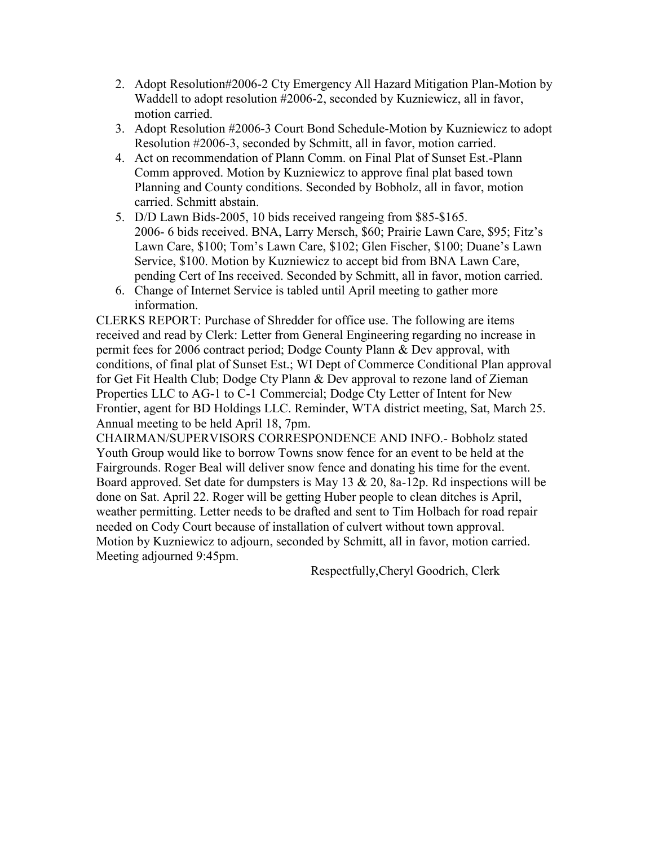- 2. Adopt Resolution#2006-2 Cty Emergency All Hazard Mitigation Plan-Motion by Waddell to adopt resolution #2006-2, seconded by Kuzniewicz, all in favor, motion carried.
- 3. Adopt Resolution #2006-3 Court Bond Schedule-Motion by Kuzniewicz to adopt Resolution #2006-3, seconded by Schmitt, all in favor, motion carried.
- 4. Act on recommendation of Plann Comm. on Final Plat of Sunset Est.-Plann Comm approved. Motion by Kuzniewicz to approve final plat based town Planning and County conditions. Seconded by Bobholz, all in favor, motion carried. Schmitt abstain.
- 5. D/D Lawn Bids-2005, 10 bids received rangeing from \$85-\$165. 2006- 6 bids received. BNA, Larry Mersch, \$60; Prairie Lawn Care, \$95; Fitz's Lawn Care, \$100; Tom's Lawn Care, \$102; Glen Fischer, \$100; Duane's Lawn Service, \$100. Motion by Kuzniewicz to accept bid from BNA Lawn Care, pending Cert of Ins received. Seconded by Schmitt, all in favor, motion carried.
- 6. Change of Internet Service is tabled until April meeting to gather more information.

CLERKS REPORT: Purchase of Shredder for office use. The following are items received and read by Clerk: Letter from General Engineering regarding no increase in permit fees for 2006 contract period; Dodge County Plann & Dev approval, with conditions, of final plat of Sunset Est.; WI Dept of Commerce Conditional Plan approval for Get Fit Health Club; Dodge Cty Plann & Dev approval to rezone land of Zieman Properties LLC to AG-1 to C-1 Commercial; Dodge Cty Letter of Intent for New Frontier, agent for BD Holdings LLC. Reminder, WTA district meeting, Sat, March 25. Annual meeting to be held April 18, 7pm.

CHAIRMAN/SUPERVISORS CORRESPONDENCE AND INFO.- Bobholz stated Youth Group would like to borrow Towns snow fence for an event to be held at the Fairgrounds. Roger Beal will deliver snow fence and donating his time for the event. Board approved. Set date for dumpsters is May 13  $& 20$ , 8a-12p. Rd inspections will be done on Sat. April 22. Roger will be getting Huber people to clean ditches is April, weather permitting. Letter needs to be drafted and sent to Tim Holbach for road repair needed on Cody Court because of installation of culvert without town approval. Motion by Kuzniewicz to adjourn, seconded by Schmitt, all in favor, motion carried. Meeting adjourned 9:45pm.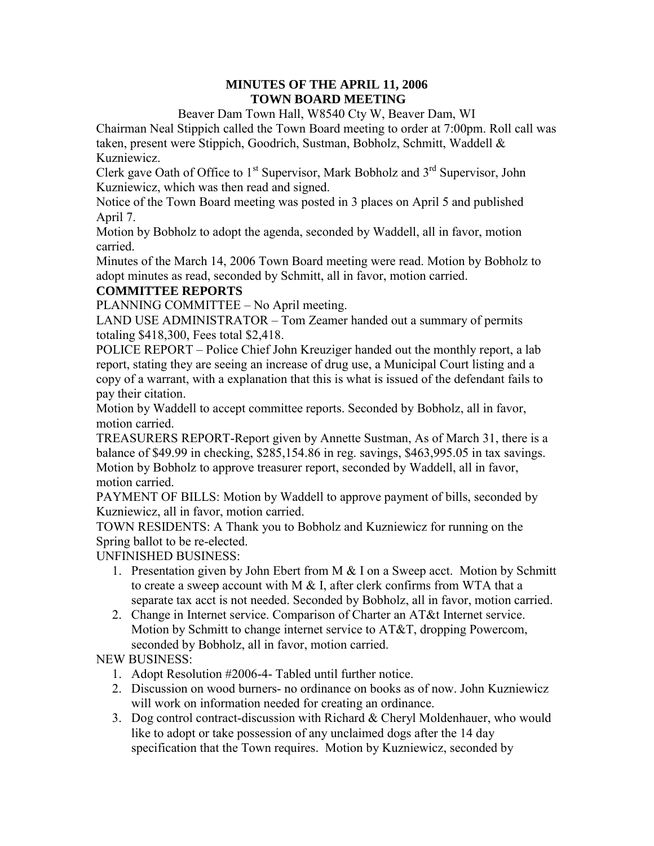### **MINUTES OF THE APRIL 11, 2006 TOWN BOARD MEETING**

## Beaver Dam Town Hall, W8540 Cty W, Beaver Dam, WI

Chairman Neal Stippich called the Town Board meeting to order at 7:00pm. Roll call was taken, present were Stippich, Goodrich, Sustman, Bobholz, Schmitt, Waddell & Kuzniewicz.

Clerk gave Oath of Office to  $1<sup>st</sup>$  Supervisor, Mark Bobholz and  $3<sup>rd</sup>$  Supervisor, John Kuzniewicz, which was then read and signed.

Notice of the Town Board meeting was posted in 3 places on April 5 and published April 7.

Motion by Bobholz to adopt the agenda, seconded by Waddell, all in favor, motion carried.

Minutes of the March 14, 2006 Town Board meeting were read. Motion by Bobholz to adopt minutes as read, seconded by Schmitt, all in favor, motion carried.

## **COMMITTEE REPORTS**

PLANNING COMMITTEE – No April meeting.

LAND USE ADMINISTRATOR – Tom Zeamer handed out a summary of permits totaling \$418,300, Fees total \$2,418.

POLICE REPORT – Police Chief John Kreuziger handed out the monthly report, a lab report, stating they are seeing an increase of drug use, a Municipal Court listing and a copy of a warrant, with a explanation that this is what is issued of the defendant fails to pay their citation.

Motion by Waddell to accept committee reports. Seconded by Bobholz, all in favor, motion carried.

TREASURERS REPORT-Report given by Annette Sustman, As of March 31, there is a balance of \$49.99 in checking, \$285,154.86 in reg. savings, \$463,995.05 in tax savings. Motion by Bobholz to approve treasurer report, seconded by Waddell, all in favor, motion carried.

PAYMENT OF BILLS: Motion by Waddell to approve payment of bills, seconded by Kuzniewicz, all in favor, motion carried.

TOWN RESIDENTS: A Thank you to Bobholz and Kuzniewicz for running on the Spring ballot to be re-elected.

UNFINISHED BUSINESS:

- 1. Presentation given by John Ebert from M & I on a Sweep acct. Motion by Schmitt to create a sweep account with M & I, after clerk confirms from WTA that a separate tax acct is not needed. Seconded by Bobholz, all in favor, motion carried.
- 2. Change in Internet service. Comparison of Charter an AT&t Internet service. Motion by Schmitt to change internet service to AT&T, dropping Powercom, seconded by Bobholz, all in favor, motion carried.

# NEW BUSINESS:

- 1. Adopt Resolution #2006-4- Tabled until further notice.
- 2. Discussion on wood burners- no ordinance on books as of now. John Kuzniewicz will work on information needed for creating an ordinance.
- 3. Dog control contract-discussion with Richard & Cheryl Moldenhauer, who would like to adopt or take possession of any unclaimed dogs after the 14 day specification that the Town requires. Motion by Kuzniewicz, seconded by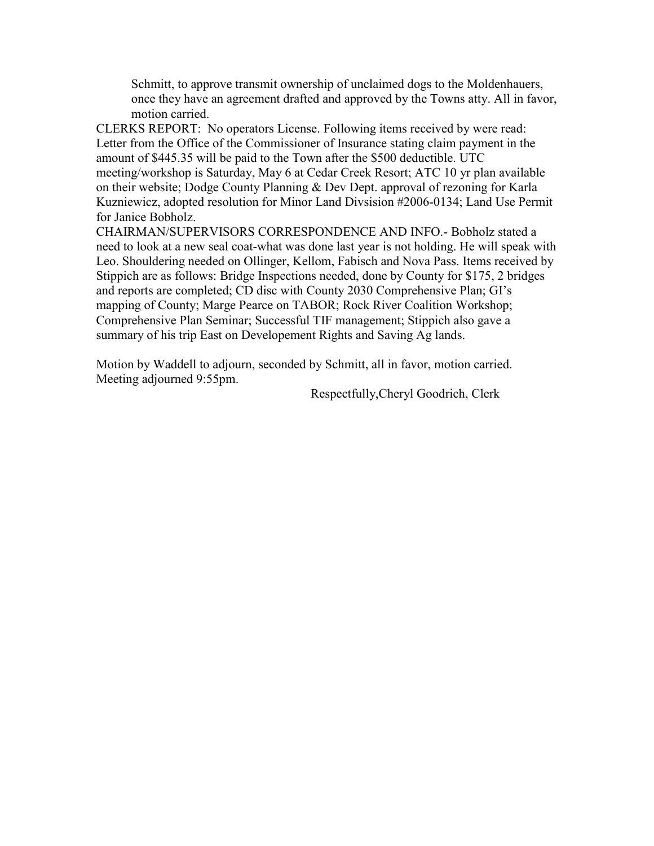Schmitt, to approve transmit ownership of unclaimed dogs to the Moldenhauers, once they have an agreement drafted and approved by the Towns atty. All in favor, motion carried.

CLERKS REPORT: No operators License. Following items received by were read: Letter from the Office of the Commissioner of Insurance stating claim payment in the amount of \$445.35 will be paid to the Town after the \$500 deductible. UTC meeting/workshop is Saturday, May 6 at Cedar Creek Resort; ATC 10 yr plan available on their website; Dodge County Planning & Dev Dept. approval of rezoning for Karla Kuzniewicz, adopted resolution for Minor Land Divsision #2006-0134; Land Use Permit for Janice Bobholz.

CHAIRMAN/SUPERVISORS CORRESPONDENCE AND INFO.- Bobholz stated a need to look at a new seal coat-what was done last year is not holding. He will speak with Leo. Shouldering needed on Ollinger, Kellom, Fabisch and Nova Pass. Items received by Stippich are as follows: Bridge Inspections needed, done by County for \$175, 2 bridges and reports are completed; CD disc with County 2030 Comprehensive Plan; GI's mapping of County; Marge Pearce on TABOR; Rock River Coalition Workshop; Comprehensive Plan Seminar; Successful TIF management; Stippich also gave a summary of his trip East on Developement Rights and Saving Ag lands.

Motion by Waddell to adjourn, seconded by Schmitt, all in favor, motion carried. Meeting adjourned 9:55pm.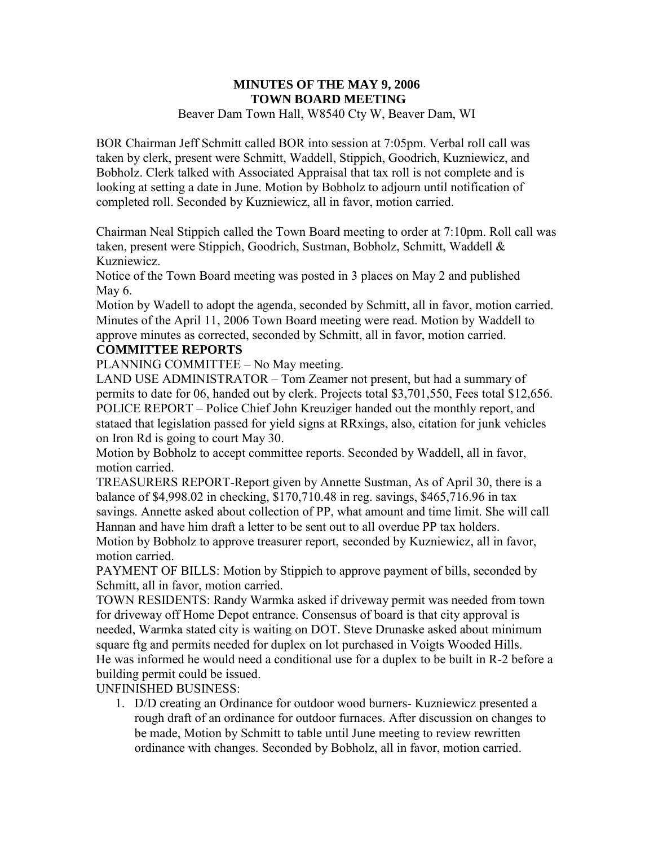### **MINUTES OF THE MAY 9, 2006 TOWN BOARD MEETING**  Beaver Dam Town Hall, W8540 Cty W, Beaver Dam, WI

BOR Chairman Jeff Schmitt called BOR into session at 7:05pm. Verbal roll call was taken by clerk, present were Schmitt, Waddell, Stippich, Goodrich, Kuzniewicz, and Bobholz. Clerk talked with Associated Appraisal that tax roll is not complete and is looking at setting a date in June. Motion by Bobholz to adjourn until notification of completed roll. Seconded by Kuzniewicz, all in favor, motion carried.

Chairman Neal Stippich called the Town Board meeting to order at 7:10pm. Roll call was taken, present were Stippich, Goodrich, Sustman, Bobholz, Schmitt, Waddell & Kuzniewicz.

Notice of the Town Board meeting was posted in 3 places on May 2 and published May 6.

Motion by Wadell to adopt the agenda, seconded by Schmitt, all in favor, motion carried. Minutes of the April 11, 2006 Town Board meeting were read. Motion by Waddell to approve minutes as corrected, seconded by Schmitt, all in favor, motion carried.

## **COMMITTEE REPORTS**

PLANNING COMMITTEE – No May meeting.

LAND USE ADMINISTRATOR – Tom Zeamer not present, but had a summary of permits to date for 06, handed out by clerk. Projects total \$3,701,550, Fees total \$12,656. POLICE REPORT – Police Chief John Kreuziger handed out the monthly report, and stataed that legislation passed for yield signs at RRxings, also, citation for junk vehicles on Iron Rd is going to court May 30.

Motion by Bobholz to accept committee reports. Seconded by Waddell, all in favor, motion carried.

TREASURERS REPORT-Report given by Annette Sustman, As of April 30, there is a balance of \$4,998.02 in checking, \$170,710.48 in reg. savings, \$465,716.96 in tax savings. Annette asked about collection of PP, what amount and time limit. She will call Hannan and have him draft a letter to be sent out to all overdue PP tax holders.

Motion by Bobholz to approve treasurer report, seconded by Kuzniewicz, all in favor, motion carried.

PAYMENT OF BILLS: Motion by Stippich to approve payment of bills, seconded by Schmitt, all in favor, motion carried.

TOWN RESIDENTS: Randy Warmka asked if driveway permit was needed from town for driveway off Home Depot entrance. Consensus of board is that city approval is needed, Warmka stated city is waiting on DOT. Steve Drunaske asked about minimum square ftg and permits needed for duplex on lot purchased in Voigts Wooded Hills. He was informed he would need a conditional use for a duplex to be built in R-2 before a building permit could be issued.

UNFINISHED BUSINESS:

1. D/D creating an Ordinance for outdoor wood burners- Kuzniewicz presented a rough draft of an ordinance for outdoor furnaces. After discussion on changes to be made, Motion by Schmitt to table until June meeting to review rewritten ordinance with changes. Seconded by Bobholz, all in favor, motion carried.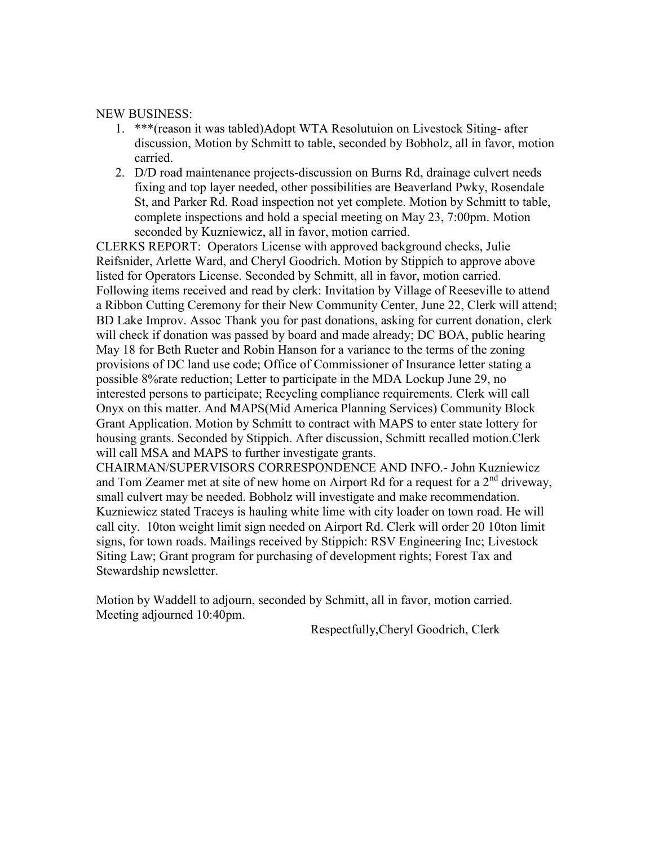#### NEW BUSINESS:

- 1. \*\*\*(reason it was tabled)Adopt WTA Resolutuion on Livestock Siting- after discussion, Motion by Schmitt to table, seconded by Bobholz, all in favor, motion carried.
- 2. D/D road maintenance projects-discussion on Burns Rd, drainage culvert needs fixing and top layer needed, other possibilities are Beaverland Pwky, Rosendale St, and Parker Rd. Road inspection not yet complete. Motion by Schmitt to table, complete inspections and hold a special meeting on May 23, 7:00pm. Motion seconded by Kuzniewicz, all in favor, motion carried.

CLERKS REPORT: Operators License with approved background checks, Julie Reifsnider, Arlette Ward, and Cheryl Goodrich. Motion by Stippich to approve above listed for Operators License. Seconded by Schmitt, all in favor, motion carried. Following items received and read by clerk: Invitation by Village of Reeseville to attend a Ribbon Cutting Ceremony for their New Community Center, June 22, Clerk will attend; BD Lake Improv. Assoc Thank you for past donations, asking for current donation, clerk will check if donation was passed by board and made already; DC BOA, public hearing May 18 for Beth Rueter and Robin Hanson for a variance to the terms of the zoning provisions of DC land use code; Office of Commissioner of Insurance letter stating a possible 8%rate reduction; Letter to participate in the MDA Lockup June 29, no interested persons to participate; Recycling compliance requirements. Clerk will call Onyx on this matter. And MAPS(Mid America Planning Services) Community Block Grant Application. Motion by Schmitt to contract with MAPS to enter state lottery for housing grants. Seconded by Stippich. After discussion, Schmitt recalled motion.Clerk will call MSA and MAPS to further investigate grants.

CHAIRMAN/SUPERVISORS CORRESPONDENCE AND INFO.- John Kuzniewicz and Tom Zeamer met at site of new home on Airport Rd for a request for a  $2<sup>nd</sup>$  driveway, small culvert may be needed. Bobholz will investigate and make recommendation. Kuzniewicz stated Traceys is hauling white lime with city loader on town road. He will call city. 10ton weight limit sign needed on Airport Rd. Clerk will order 20 10ton limit signs, for town roads. Mailings received by Stippich: RSV Engineering Inc; Livestock Siting Law; Grant program for purchasing of development rights; Forest Tax and Stewardship newsletter.

Motion by Waddell to adjourn, seconded by Schmitt, all in favor, motion carried. Meeting adjourned 10:40pm.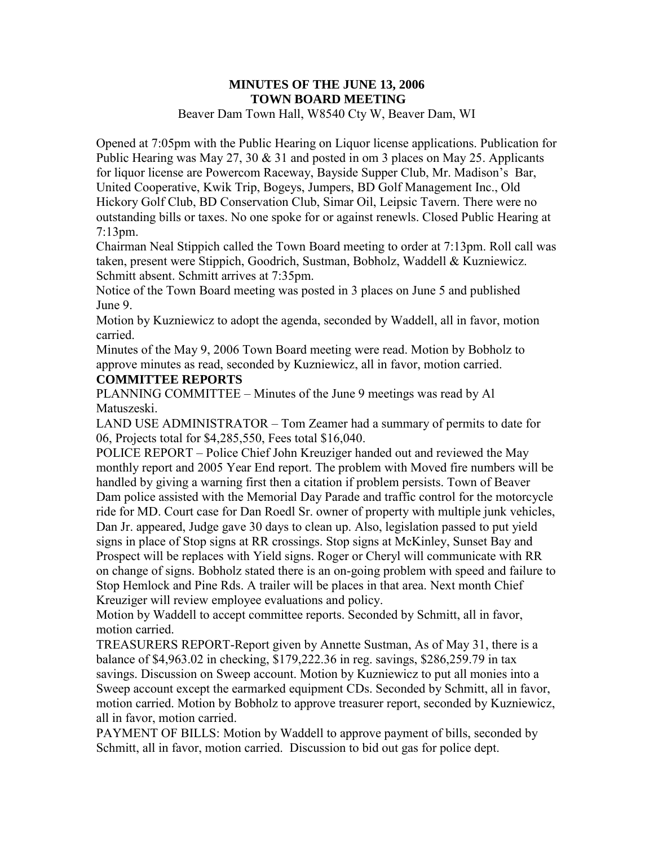#### **MINUTES OF THE JUNE 13, 2006 TOWN BOARD MEETING**  Beaver Dam Town Hall, W8540 Cty W, Beaver Dam, WI

Opened at 7:05pm with the Public Hearing on Liquor license applications. Publication for Public Hearing was May 27, 30 & 31 and posted in om 3 places on May 25. Applicants for liquor license are Powercom Raceway, Bayside Supper Club, Mr. Madison's Bar, United Cooperative, Kwik Trip, Bogeys, Jumpers, BD Golf Management Inc., Old Hickory Golf Club, BD Conservation Club, Simar Oil, Leipsic Tavern. There were no outstanding bills or taxes. No one spoke for or against renewls. Closed Public Hearing at 7:13pm.

Chairman Neal Stippich called the Town Board meeting to order at 7:13pm. Roll call was taken, present were Stippich, Goodrich, Sustman, Bobholz, Waddell & Kuzniewicz. Schmitt absent. Schmitt arrives at 7:35pm.

Notice of the Town Board meeting was posted in 3 places on June 5 and published June 9.

Motion by Kuzniewicz to adopt the agenda, seconded by Waddell, all in favor, motion carried.

Minutes of the May 9, 2006 Town Board meeting were read. Motion by Bobholz to approve minutes as read, seconded by Kuzniewicz, all in favor, motion carried.

### **COMMITTEE REPORTS**

PLANNING COMMITTEE – Minutes of the June 9 meetings was read by Al Matuszeski.

LAND USE ADMINISTRATOR – Tom Zeamer had a summary of permits to date for 06, Projects total for \$4,285,550, Fees total \$16,040.

POLICE REPORT – Police Chief John Kreuziger handed out and reviewed the May monthly report and 2005 Year End report. The problem with Moved fire numbers will be handled by giving a warning first then a citation if problem persists. Town of Beaver Dam police assisted with the Memorial Day Parade and traffic control for the motorcycle ride for MD. Court case for Dan Roedl Sr. owner of property with multiple junk vehicles, Dan Jr. appeared, Judge gave 30 days to clean up. Also, legislation passed to put yield signs in place of Stop signs at RR crossings. Stop signs at McKinley, Sunset Bay and Prospect will be replaces with Yield signs. Roger or Cheryl will communicate with RR on change of signs. Bobholz stated there is an on-going problem with speed and failure to Stop Hemlock and Pine Rds. A trailer will be places in that area. Next month Chief Kreuziger will review employee evaluations and policy.

Motion by Waddell to accept committee reports. Seconded by Schmitt, all in favor, motion carried.

TREASURERS REPORT-Report given by Annette Sustman, As of May 31, there is a balance of \$4,963.02 in checking, \$179,222.36 in reg. savings, \$286,259.79 in tax savings. Discussion on Sweep account. Motion by Kuzniewicz to put all monies into a Sweep account except the earmarked equipment CDs. Seconded by Schmitt, all in favor, motion carried. Motion by Bobholz to approve treasurer report, seconded by Kuzniewicz, all in favor, motion carried.

PAYMENT OF BILLS: Motion by Waddell to approve payment of bills, seconded by Schmitt, all in favor, motion carried. Discussion to bid out gas for police dept.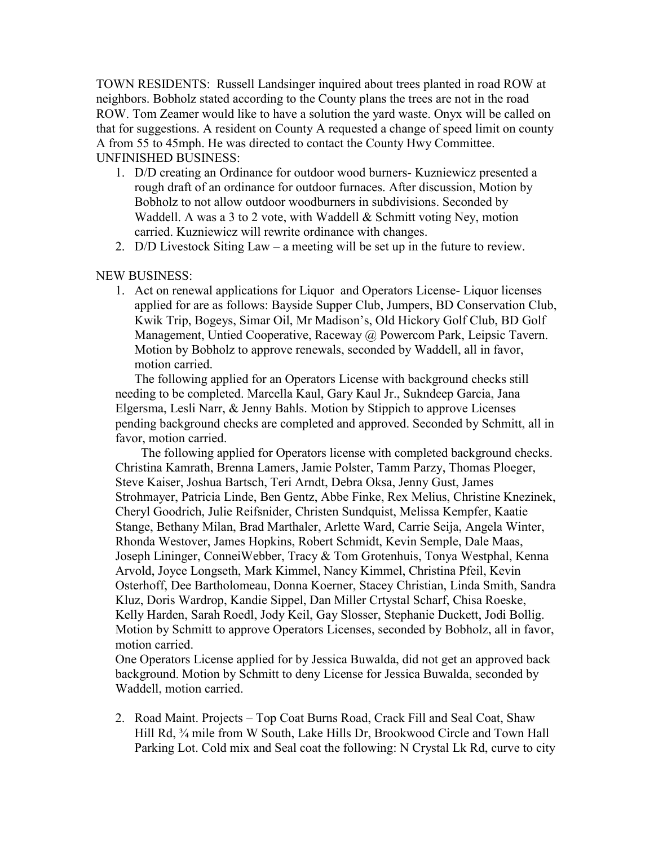TOWN RESIDENTS: Russell Landsinger inquired about trees planted in road ROW at neighbors. Bobholz stated according to the County plans the trees are not in the road ROW. Tom Zeamer would like to have a solution the yard waste. Onyx will be called on that for suggestions. A resident on County A requested a change of speed limit on county A from 55 to 45mph. He was directed to contact the County Hwy Committee. UNFINISHED BUSINESS:

- 1. D/D creating an Ordinance for outdoor wood burners- Kuzniewicz presented a rough draft of an ordinance for outdoor furnaces. After discussion, Motion by Bobholz to not allow outdoor woodburners in subdivisions. Seconded by Waddell. A was a 3 to 2 vote, with Waddell & Schmitt voting Ney, motion carried. Kuzniewicz will rewrite ordinance with changes.
- 2. D/D Livestock Siting Law a meeting will be set up in the future to review.

### NEW BUSINESS:

1. Act on renewal applications for Liquor and Operators License- Liquor licenses applied for are as follows: Bayside Supper Club, Jumpers, BD Conservation Club, Kwik Trip, Bogeys, Simar Oil, Mr Madison's, Old Hickory Golf Club, BD Golf Management, Untied Cooperative, Raceway @ Powercom Park, Leipsic Tavern. Motion by Bobholz to approve renewals, seconded by Waddell, all in favor, motion carried.

 The following applied for an Operators License with background checks still needing to be completed. Marcella Kaul, Gary Kaul Jr., Sukndeep Garcia, Jana Elgersma, Lesli Narr, & Jenny Bahls. Motion by Stippich to approve Licenses pending background checks are completed and approved. Seconded by Schmitt, all in favor, motion carried.

 The following applied for Operators license with completed background checks. Christina Kamrath, Brenna Lamers, Jamie Polster, Tamm Parzy, Thomas Ploeger, Steve Kaiser, Joshua Bartsch, Teri Arndt, Debra Oksa, Jenny Gust, James Strohmayer, Patricia Linde, Ben Gentz, Abbe Finke, Rex Melius, Christine Knezinek, Cheryl Goodrich, Julie Reifsnider, Christen Sundquist, Melissa Kempfer, Kaatie Stange, Bethany Milan, Brad Marthaler, Arlette Ward, Carrie Seija, Angela Winter, Rhonda Westover, James Hopkins, Robert Schmidt, Kevin Semple, Dale Maas, Joseph Lininger, ConneiWebber, Tracy & Tom Grotenhuis, Tonya Westphal, Kenna Arvold, Joyce Longseth, Mark Kimmel, Nancy Kimmel, Christina Pfeil, Kevin Osterhoff, Dee Bartholomeau, Donna Koerner, Stacey Christian, Linda Smith, Sandra Kluz, Doris Wardrop, Kandie Sippel, Dan Miller Crtystal Scharf, Chisa Roeske, Kelly Harden, Sarah Roedl, Jody Keil, Gay Slosser, Stephanie Duckett, Jodi Bollig. Motion by Schmitt to approve Operators Licenses, seconded by Bobholz, all in favor, motion carried.

One Operators License applied for by Jessica Buwalda, did not get an approved back background. Motion by Schmitt to deny License for Jessica Buwalda, seconded by Waddell, motion carried.

2. Road Maint. Projects – Top Coat Burns Road, Crack Fill and Seal Coat, Shaw Hill Rd, ¾ mile from W South, Lake Hills Dr, Brookwood Circle and Town Hall Parking Lot. Cold mix and Seal coat the following: N Crystal Lk Rd, curve to city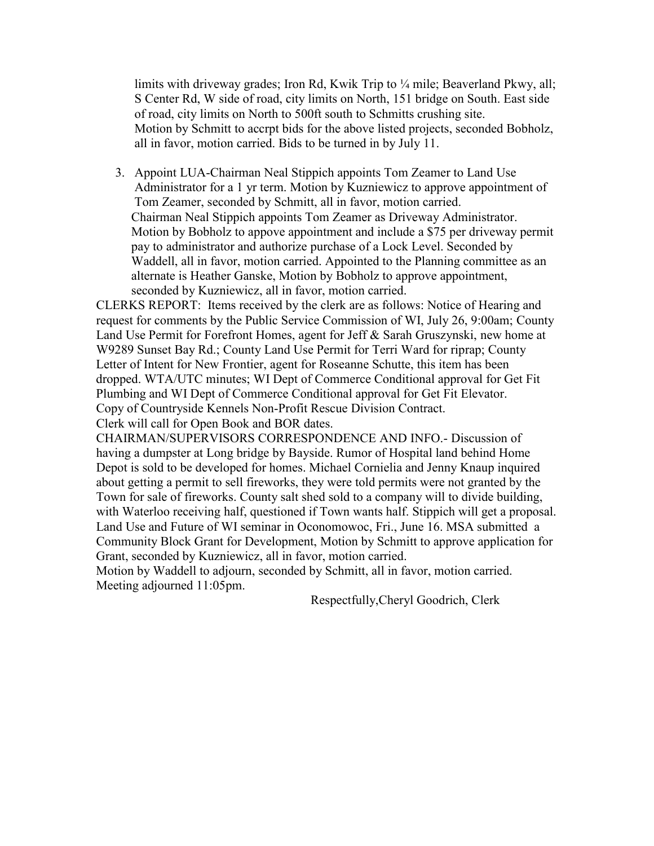limits with driveway grades; Iron Rd, Kwik Trip to ¼ mile; Beaverland Pkwy, all; S Center Rd, W side of road, city limits on North, 151 bridge on South. East side of road, city limits on North to 500ft south to Schmitts crushing site. Motion by Schmitt to accrpt bids for the above listed projects, seconded Bobholz, all in favor, motion carried. Bids to be turned in by July 11.

3. Appoint LUA-Chairman Neal Stippich appoints Tom Zeamer to Land Use Administrator for a 1 yr term. Motion by Kuzniewicz to approve appointment of Tom Zeamer, seconded by Schmitt, all in favor, motion carried. Chairman Neal Stippich appoints Tom Zeamer as Driveway Administrator. Motion by Bobholz to appove appointment and include a \$75 per driveway permit pay to administrator and authorize purchase of a Lock Level. Seconded by Waddell, all in favor, motion carried. Appointed to the Planning committee as an alternate is Heather Ganske, Motion by Bobholz to approve appointment, seconded by Kuzniewicz, all in favor, motion carried.

CLERKS REPORT: Items received by the clerk are as follows: Notice of Hearing and request for comments by the Public Service Commission of WI, July 26, 9:00am; County Land Use Permit for Forefront Homes, agent for Jeff & Sarah Gruszynski, new home at W9289 Sunset Bay Rd.; County Land Use Permit for Terri Ward for riprap; County Letter of Intent for New Frontier, agent for Roseanne Schutte, this item has been dropped. WTA/UTC minutes; WI Dept of Commerce Conditional approval for Get Fit Plumbing and WI Dept of Commerce Conditional approval for Get Fit Elevator. Copy of Countryside Kennels Non-Profit Rescue Division Contract.

Clerk will call for Open Book and BOR dates.

CHAIRMAN/SUPERVISORS CORRESPONDENCE AND INFO.- Discussion of having a dumpster at Long bridge by Bayside. Rumor of Hospital land behind Home Depot is sold to be developed for homes. Michael Cornielia and Jenny Knaup inquired about getting a permit to sell fireworks, they were told permits were not granted by the Town for sale of fireworks. County salt shed sold to a company will to divide building, with Waterloo receiving half, questioned if Town wants half. Stippich will get a proposal. Land Use and Future of WI seminar in Oconomowoc, Fri., June 16. MSA submitted a Community Block Grant for Development, Motion by Schmitt to approve application for Grant, seconded by Kuzniewicz, all in favor, motion carried.

Motion by Waddell to adjourn, seconded by Schmitt, all in favor, motion carried. Meeting adjourned 11:05pm.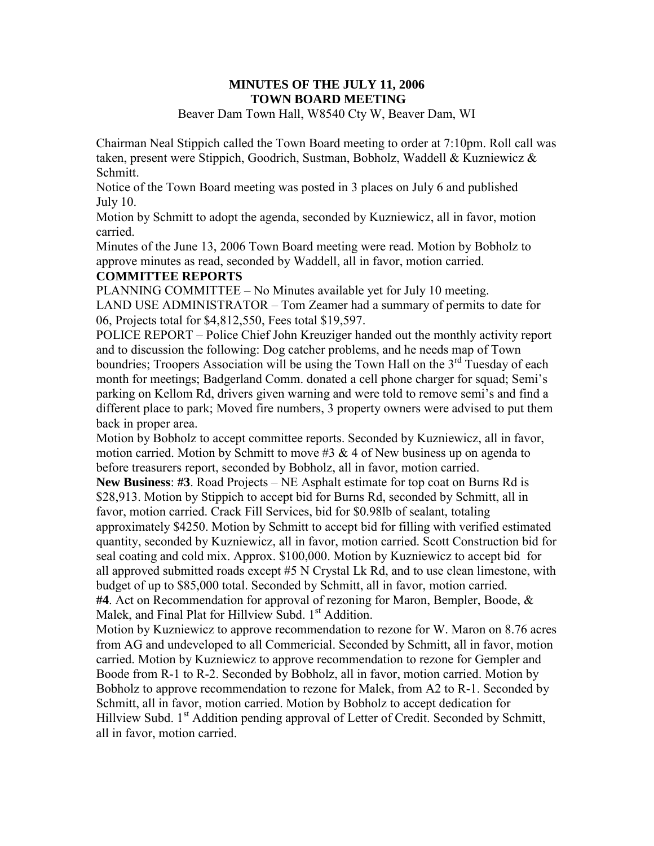# **MINUTES OF THE JULY 11, 2006 TOWN BOARD MEETING**

Beaver Dam Town Hall, W8540 Cty W, Beaver Dam, WI

Chairman Neal Stippich called the Town Board meeting to order at 7:10pm. Roll call was taken, present were Stippich, Goodrich, Sustman, Bobholz, Waddell & Kuzniewicz & Schmitt.

Notice of the Town Board meeting was posted in 3 places on July 6 and published July 10.

Motion by Schmitt to adopt the agenda, seconded by Kuzniewicz, all in favor, motion carried.

Minutes of the June 13, 2006 Town Board meeting were read. Motion by Bobholz to approve minutes as read, seconded by Waddell, all in favor, motion carried.

### **COMMITTEE REPORTS**

PLANNING COMMITTEE – No Minutes available yet for July 10 meeting. LAND USE ADMINISTRATOR – Tom Zeamer had a summary of permits to date for 06, Projects total for \$4,812,550, Fees total \$19,597.

POLICE REPORT – Police Chief John Kreuziger handed out the monthly activity report and to discussion the following: Dog catcher problems, and he needs map of Town boundries; Troopers Association will be using the Town Hall on the  $3<sup>rd</sup>$  Tuesday of each month for meetings; Badgerland Comm. donated a cell phone charger for squad; Semi's parking on Kellom Rd, drivers given warning and were told to remove semi's and find a different place to park; Moved fire numbers, 3 property owners were advised to put them back in proper area.

Motion by Bobholz to accept committee reports. Seconded by Kuzniewicz, all in favor, motion carried. Motion by Schmitt to move #3  $& 4$  of New business up on agenda to before treasurers report, seconded by Bobholz, all in favor, motion carried.

**New Business**: **#3**. Road Projects – NE Asphalt estimate for top coat on Burns Rd is \$28,913. Motion by Stippich to accept bid for Burns Rd, seconded by Schmitt, all in favor, motion carried. Crack Fill Services, bid for \$0.98lb of sealant, totaling approximately \$4250. Motion by Schmitt to accept bid for filling with verified estimated quantity, seconded by Kuzniewicz, all in favor, motion carried. Scott Construction bid for seal coating and cold mix. Approx. \$100,000. Motion by Kuzniewicz to accept bid for all approved submitted roads except #5 N Crystal Lk Rd, and to use clean limestone, with budget of up to \$85,000 total. Seconded by Schmitt, all in favor, motion carried. **#4**. Act on Recommendation for approval of rezoning for Maron, Bempler, Boode, & Malek, and Final Plat for Hillview Subd.  $1<sup>st</sup>$  Addition.

Motion by Kuzniewicz to approve recommendation to rezone for W. Maron on 8.76 acres from AG and undeveloped to all Commericial. Seconded by Schmitt, all in favor, motion carried. Motion by Kuzniewicz to approve recommendation to rezone for Gempler and Boode from R-1 to R-2. Seconded by Bobholz, all in favor, motion carried. Motion by Bobholz to approve recommendation to rezone for Malek, from A2 to R-1. Seconded by Schmitt, all in favor, motion carried. Motion by Bobholz to accept dedication for Hillview Subd. 1<sup>st</sup> Addition pending approval of Letter of Credit. Seconded by Schmitt, all in favor, motion carried.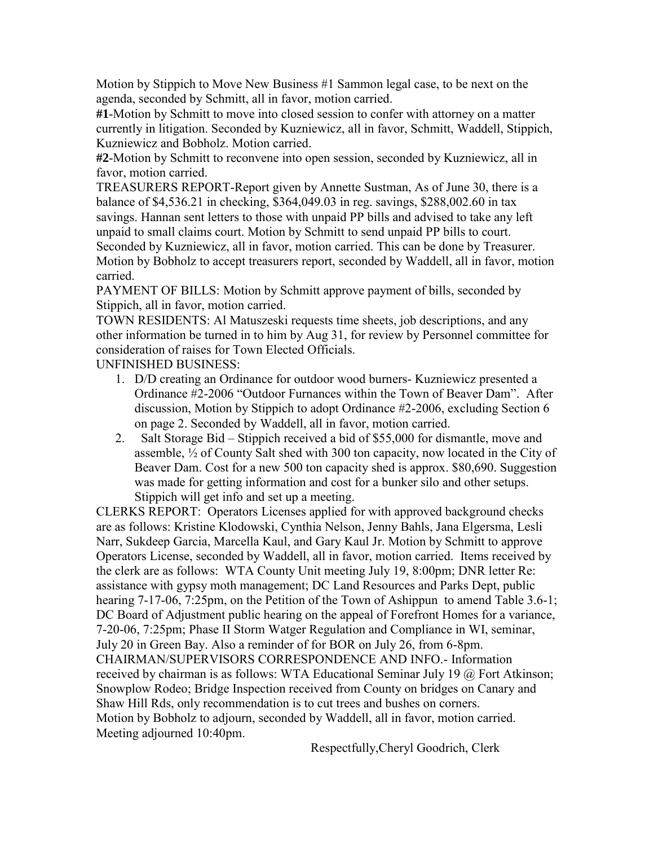Motion by Stippich to Move New Business #1 Sammon legal case, to be next on the agenda, seconded by Schmitt, all in favor, motion carried.

**#1**-Motion by Schmitt to move into closed session to confer with attorney on a matter currently in litigation. Seconded by Kuzniewicz, all in favor, Schmitt, Waddell, Stippich, Kuzniewicz and Bobholz. Motion carried.

**#2**-Motion by Schmitt to reconvene into open session, seconded by Kuzniewicz, all in favor, motion carried.

TREASURERS REPORT-Report given by Annette Sustman, As of June 30, there is a balance of \$4,536.21 in checking, \$364,049.03 in reg. savings, \$288,002.60 in tax savings. Hannan sent letters to those with unpaid PP bills and advised to take any left unpaid to small claims court. Motion by Schmitt to send unpaid PP bills to court. Seconded by Kuzniewicz, all in favor, motion carried. This can be done by Treasurer. Motion by Bobholz to accept treasurers report, seconded by Waddell, all in favor, motion carried.

PAYMENT OF BILLS: Motion by Schmitt approve payment of bills, seconded by Stippich, all in favor, motion carried.

TOWN RESIDENTS: Al Matuszeski requests time sheets, job descriptions, and any other information be turned in to him by Aug 31, for review by Personnel committee for consideration of raises for Town Elected Officials.

UNFINISHED BUSINESS:

- 1. D/D creating an Ordinance for outdoor wood burners- Kuzniewicz presented a Ordinance #2-2006 "Outdoor Furnances within the Town of Beaver Dam". After discussion, Motion by Stippich to adopt Ordinance #2-2006, excluding Section 6 on page 2. Seconded by Waddell, all in favor, motion carried.
- 2. Salt Storage Bid Stippich received a bid of \$55,000 for dismantle, move and assemble, ½ of County Salt shed with 300 ton capacity, now located in the City of Beaver Dam. Cost for a new 500 ton capacity shed is approx. \$80,690. Suggestion was made for getting information and cost for a bunker silo and other setups. Stippich will get info and set up a meeting.

CLERKS REPORT: Operators Licenses applied for with approved background checks are as follows: Kristine Klodowski, Cynthia Nelson, Jenny Bahls, Jana Elgersma, Lesli Narr, Sukdeep Garcia, Marcella Kaul, and Gary Kaul Jr. Motion by Schmitt to approve Operators License, seconded by Waddell, all in favor, motion carried. Items received by the clerk are as follows: WTA County Unit meeting July 19, 8:00pm; DNR letter Re: assistance with gypsy moth management; DC Land Resources and Parks Dept, public hearing 7-17-06, 7:25pm, on the Petition of the Town of Ashippun to amend Table 3.6-1; DC Board of Adjustment public hearing on the appeal of Forefront Homes for a variance, 7-20-06, 7:25pm; Phase II Storm Watger Regulation and Compliance in WI, seminar, July 20 in Green Bay. Also a reminder of for BOR on July 26, from 6-8pm. CHAIRMAN/SUPERVISORS CORRESPONDENCE AND INFO.- Information received by chairman is as follows: WTA Educational Seminar July 19 @ Fort Atkinson; Snowplow Rodeo; Bridge Inspection received from County on bridges on Canary and Shaw Hill Rds, only recommendation is to cut trees and bushes on corners. Motion by Bobholz to adjourn, seconded by Waddell, all in favor, motion carried. Meeting adjourned 10:40pm.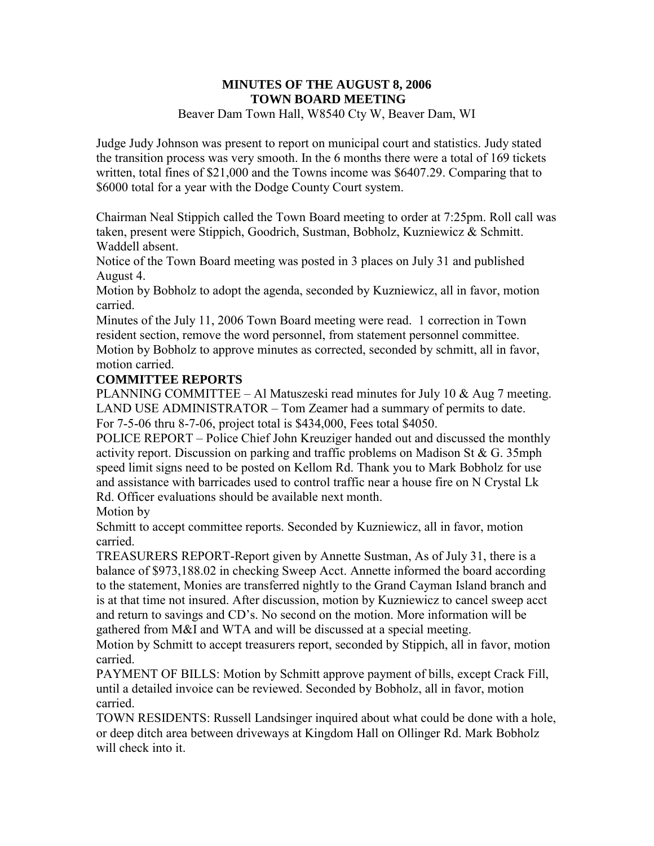### **MINUTES OF THE AUGUST 8, 2006 TOWN BOARD MEETING**  Beaver Dam Town Hall, W8540 Cty W, Beaver Dam, WI

Judge Judy Johnson was present to report on municipal court and statistics. Judy stated the transition process was very smooth. In the 6 months there were a total of 169 tickets written, total fines of \$21,000 and the Towns income was \$6407.29. Comparing that to \$6000 total for a year with the Dodge County Court system.

Chairman Neal Stippich called the Town Board meeting to order at 7:25pm. Roll call was taken, present were Stippich, Goodrich, Sustman, Bobholz, Kuzniewicz & Schmitt. Waddell absent.

Notice of the Town Board meeting was posted in 3 places on July 31 and published August 4.

Motion by Bobholz to adopt the agenda, seconded by Kuzniewicz, all in favor, motion carried.

Minutes of the July 11, 2006 Town Board meeting were read. 1 correction in Town resident section, remove the word personnel, from statement personnel committee. Motion by Bobholz to approve minutes as corrected, seconded by schmitt, all in favor, motion carried.

# **COMMITTEE REPORTS**

PLANNING COMMITTEE – Al Matuszeski read minutes for July 10 & Aug 7 meeting. LAND USE ADMINISTRATOR – Tom Zeamer had a summary of permits to date. For 7-5-06 thru 8-7-06, project total is \$434,000, Fees total \$4050.

POLICE REPORT – Police Chief John Kreuziger handed out and discussed the monthly activity report. Discussion on parking and traffic problems on Madison St & G. 35mph speed limit signs need to be posted on Kellom Rd. Thank you to Mark Bobholz for use and assistance with barricades used to control traffic near a house fire on N Crystal Lk Rd. Officer evaluations should be available next month.

Motion by

Schmitt to accept committee reports. Seconded by Kuzniewicz, all in favor, motion carried.

TREASURERS REPORT-Report given by Annette Sustman, As of July 31, there is a balance of \$973,188.02 in checking Sweep Acct. Annette informed the board according to the statement, Monies are transferred nightly to the Grand Cayman Island branch and is at that time not insured. After discussion, motion by Kuzniewicz to cancel sweep acct and return to savings and CD's. No second on the motion. More information will be gathered from M&I and WTA and will be discussed at a special meeting.

Motion by Schmitt to accept treasurers report, seconded by Stippich, all in favor, motion carried.

PAYMENT OF BILLS: Motion by Schmitt approve payment of bills, except Crack Fill, until a detailed invoice can be reviewed. Seconded by Bobholz, all in favor, motion carried.

TOWN RESIDENTS: Russell Landsinger inquired about what could be done with a hole, or deep ditch area between driveways at Kingdom Hall on Ollinger Rd. Mark Bobholz will check into it.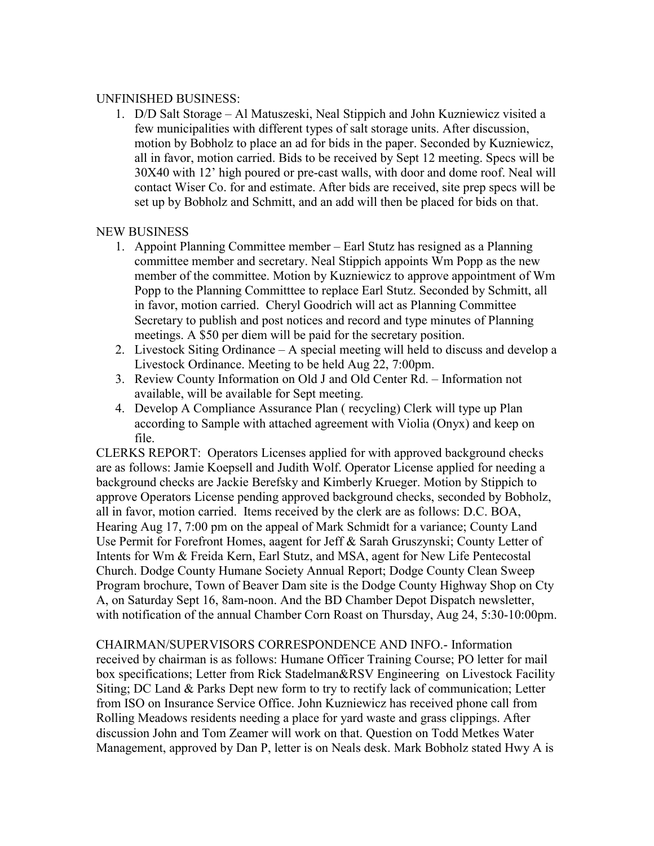### UNFINISHED BUSINESS:

1. D/D Salt Storage – Al Matuszeski, Neal Stippich and John Kuzniewicz visited a few municipalities with different types of salt storage units. After discussion, motion by Bobholz to place an ad for bids in the paper. Seconded by Kuzniewicz, all in favor, motion carried. Bids to be received by Sept 12 meeting. Specs will be 30X40 with 12' high poured or pre-cast walls, with door and dome roof. Neal will contact Wiser Co. for and estimate. After bids are received, site prep specs will be set up by Bobholz and Schmitt, and an add will then be placed for bids on that.

### NEW BUSINESS

- 1. Appoint Planning Committee member Earl Stutz has resigned as a Planning committee member and secretary. Neal Stippich appoints Wm Popp as the new member of the committee. Motion by Kuzniewicz to approve appointment of Wm Popp to the Planning Committtee to replace Earl Stutz. Seconded by Schmitt, all in favor, motion carried. Cheryl Goodrich will act as Planning Committee Secretary to publish and post notices and record and type minutes of Planning meetings. A \$50 per diem will be paid for the secretary position.
- 2. Livestock Siting Ordinance A special meeting will held to discuss and develop a Livestock Ordinance. Meeting to be held Aug 22, 7:00pm.
- 3. Review County Information on Old J and Old Center Rd. Information not available, will be available for Sept meeting.
- 4. Develop A Compliance Assurance Plan ( recycling) Clerk will type up Plan according to Sample with attached agreement with Violia (Onyx) and keep on file.

CLERKS REPORT: Operators Licenses applied for with approved background checks are as follows: Jamie Koepsell and Judith Wolf. Operator License applied for needing a background checks are Jackie Berefsky and Kimberly Krueger. Motion by Stippich to approve Operators License pending approved background checks, seconded by Bobholz, all in favor, motion carried. Items received by the clerk are as follows: D.C. BOA, Hearing Aug 17, 7:00 pm on the appeal of Mark Schmidt for a variance; County Land Use Permit for Forefront Homes, aagent for Jeff & Sarah Gruszynski; County Letter of Intents for Wm & Freida Kern, Earl Stutz, and MSA, agent for New Life Pentecostal Church. Dodge County Humane Society Annual Report; Dodge County Clean Sweep Program brochure, Town of Beaver Dam site is the Dodge County Highway Shop on Cty A, on Saturday Sept 16, 8am-noon. And the BD Chamber Depot Dispatch newsletter, with notification of the annual Chamber Corn Roast on Thursday, Aug 24, 5:30-10:00pm.

CHAIRMAN/SUPERVISORS CORRESPONDENCE AND INFO.- Information received by chairman is as follows: Humane Officer Training Course; PO letter for mail box specifications; Letter from Rick Stadelman&RSV Engineering on Livestock Facility Siting; DC Land & Parks Dept new form to try to rectify lack of communication; Letter from ISO on Insurance Service Office. John Kuzniewicz has received phone call from Rolling Meadows residents needing a place for yard waste and grass clippings. After discussion John and Tom Zeamer will work on that. Question on Todd Metkes Water Management, approved by Dan P, letter is on Neals desk. Mark Bobholz stated Hwy A is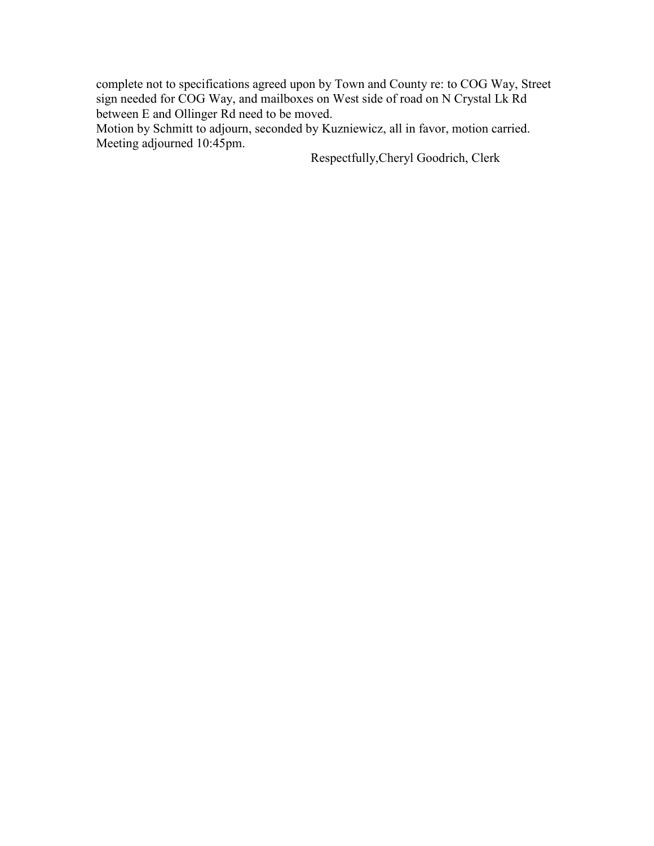complete not to specifications agreed upon by Town and County re: to COG Way, Street sign needed for COG Way, and mailboxes on West side of road on N Crystal Lk Rd between E and Ollinger Rd need to be moved.

Motion by Schmitt to adjourn, seconded by Kuzniewicz, all in favor, motion carried. Meeting adjourned 10:45pm.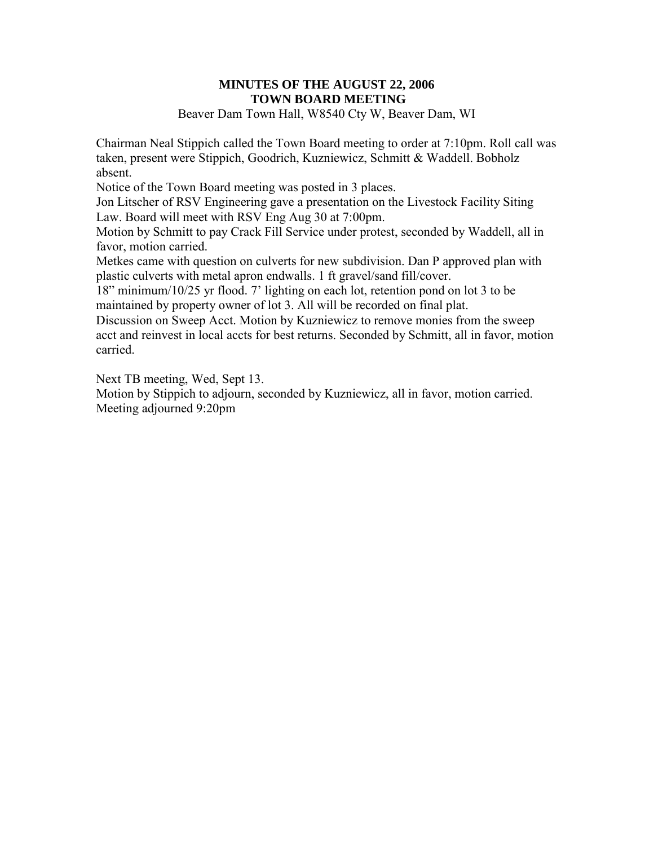# **MINUTES OF THE AUGUST 22, 2006 TOWN BOARD MEETING**

Beaver Dam Town Hall, W8540 Cty W, Beaver Dam, WI

Chairman Neal Stippich called the Town Board meeting to order at 7:10pm. Roll call was taken, present were Stippich, Goodrich, Kuzniewicz, Schmitt & Waddell. Bobholz absent.

Notice of the Town Board meeting was posted in 3 places.

Jon Litscher of RSV Engineering gave a presentation on the Livestock Facility Siting Law. Board will meet with RSV Eng Aug 30 at 7:00pm.

Motion by Schmitt to pay Crack Fill Service under protest, seconded by Waddell, all in favor, motion carried.

Metkes came with question on culverts for new subdivision. Dan P approved plan with plastic culverts with metal apron endwalls. 1 ft gravel/sand fill/cover.

18" minimum/10/25 yr flood. 7' lighting on each lot, retention pond on lot 3 to be maintained by property owner of lot 3. All will be recorded on final plat.

Discussion on Sweep Acct. Motion by Kuzniewicz to remove monies from the sweep acct and reinvest in local accts for best returns. Seconded by Schmitt, all in favor, motion carried.

Next TB meeting, Wed, Sept 13.

Motion by Stippich to adjourn, seconded by Kuzniewicz, all in favor, motion carried. Meeting adjourned 9:20pm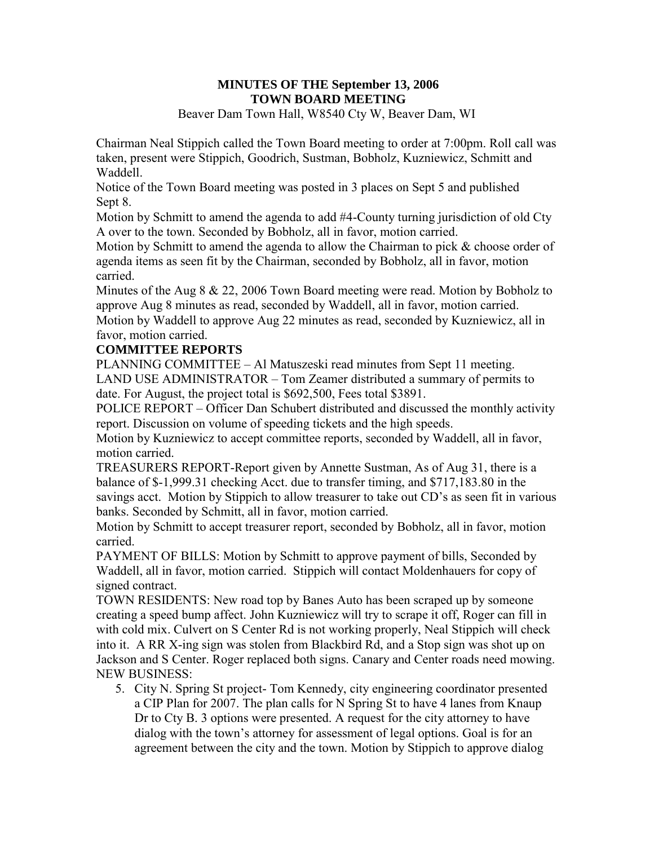# **MINUTES OF THE September 13, 2006 TOWN BOARD MEETING**

Beaver Dam Town Hall, W8540 Cty W, Beaver Dam, WI

Chairman Neal Stippich called the Town Board meeting to order at 7:00pm. Roll call was taken, present were Stippich, Goodrich, Sustman, Bobholz, Kuzniewicz, Schmitt and Waddell.

Notice of the Town Board meeting was posted in 3 places on Sept 5 and published Sept 8.

Motion by Schmitt to amend the agenda to add #4-County turning jurisdiction of old Cty A over to the town. Seconded by Bobholz, all in favor, motion carried.

Motion by Schmitt to amend the agenda to allow the Chairman to pick & choose order of agenda items as seen fit by the Chairman, seconded by Bobholz, all in favor, motion carried.

Minutes of the Aug  $8 \& 22$ , 2006 Town Board meeting were read. Motion by Bobholz to approve Aug 8 minutes as read, seconded by Waddell, all in favor, motion carried. Motion by Waddell to approve Aug 22 minutes as read, seconded by Kuzniewicz, all in favor, motion carried.

## **COMMITTEE REPORTS**

PLANNING COMMITTEE – Al Matuszeski read minutes from Sept 11 meeting. LAND USE ADMINISTRATOR – Tom Zeamer distributed a summary of permits to date. For August, the project total is \$692,500, Fees total \$3891.

POLICE REPORT – Officer Dan Schubert distributed and discussed the monthly activity report. Discussion on volume of speeding tickets and the high speeds.

Motion by Kuzniewicz to accept committee reports, seconded by Waddell, all in favor, motion carried.

TREASURERS REPORT-Report given by Annette Sustman, As of Aug 31, there is a balance of \$-1,999.31 checking Acct. due to transfer timing, and \$717,183.80 in the savings acct. Motion by Stippich to allow treasurer to take out CD's as seen fit in various banks. Seconded by Schmitt, all in favor, motion carried.

Motion by Schmitt to accept treasurer report, seconded by Bobholz, all in favor, motion carried.

PAYMENT OF BILLS: Motion by Schmitt to approve payment of bills, Seconded by Waddell, all in favor, motion carried. Stippich will contact Moldenhauers for copy of signed contract.

TOWN RESIDENTS: New road top by Banes Auto has been scraped up by someone creating a speed bump affect. John Kuzniewicz will try to scrape it off, Roger can fill in with cold mix. Culvert on S Center Rd is not working properly, Neal Stippich will check into it. A RR X-ing sign was stolen from Blackbird Rd, and a Stop sign was shot up on Jackson and S Center. Roger replaced both signs. Canary and Center roads need mowing. NEW BUSINESS:

5. City N. Spring St project- Tom Kennedy, city engineering coordinator presented a CIP Plan for 2007. The plan calls for N Spring St to have 4 lanes from Knaup Dr to Cty B. 3 options were presented. A request for the city attorney to have dialog with the town's attorney for assessment of legal options. Goal is for an agreement between the city and the town. Motion by Stippich to approve dialog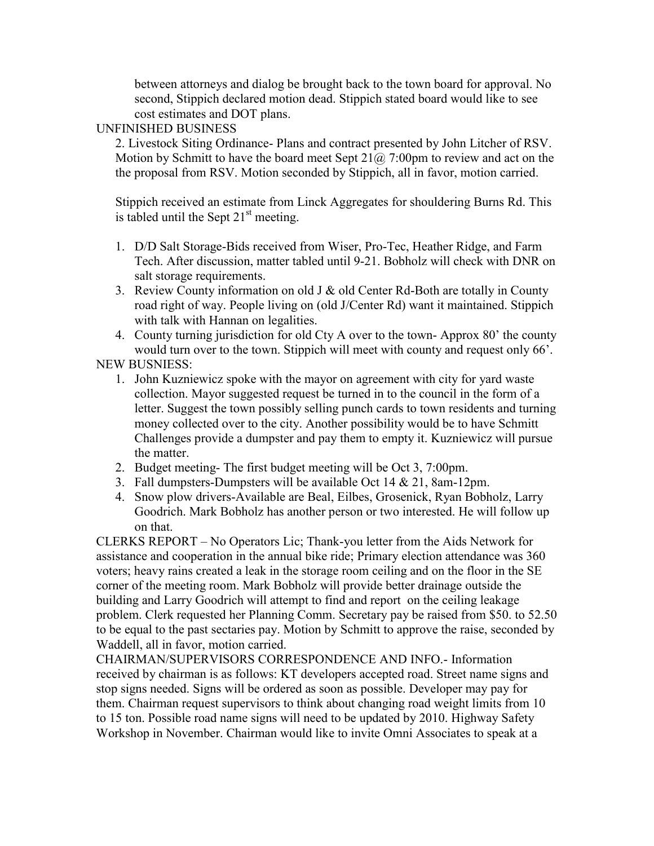between attorneys and dialog be brought back to the town board for approval. No second, Stippich declared motion dead. Stippich stated board would like to see cost estimates and DOT plans.

### UNFINISHED BUSINESS

2. Livestock Siting Ordinance- Plans and contract presented by John Litcher of RSV. Motion by Schmitt to have the board meet Sept  $21\omega$ , 7:00pm to review and act on the the proposal from RSV. Motion seconded by Stippich, all in favor, motion carried.

Stippich received an estimate from Linck Aggregates for shouldering Burns Rd. This is tabled until the Sept  $21<sup>st</sup>$  meeting.

- 1. D/D Salt Storage-Bids received from Wiser, Pro-Tec, Heather Ridge, and Farm Tech. After discussion, matter tabled until 9-21. Bobholz will check with DNR on salt storage requirements.
- 3. Review County information on old  $J \&$  old Center Rd-Both are totally in County road right of way. People living on (old J/Center Rd) want it maintained. Stippich with talk with Hannan on legalities.
- 4. County turning jurisdiction for old Cty A over to the town- Approx 80' the county would turn over to the town. Stippich will meet with county and request only 66'.

NEW BUSNIESS:

- 1. John Kuzniewicz spoke with the mayor on agreement with city for yard waste collection. Mayor suggested request be turned in to the council in the form of a letter. Suggest the town possibly selling punch cards to town residents and turning money collected over to the city. Another possibility would be to have Schmitt Challenges provide a dumpster and pay them to empty it. Kuzniewicz will pursue the matter.
- 2. Budget meeting- The first budget meeting will be Oct 3, 7:00pm.
- 3. Fall dumpsters-Dumpsters will be available Oct 14 & 21, 8am-12pm.
- 4. Snow plow drivers-Available are Beal, Eilbes, Grosenick, Ryan Bobholz, Larry Goodrich. Mark Bobholz has another person or two interested. He will follow up on that.

CLERKS REPORT – No Operators Lic; Thank-you letter from the Aids Network for assistance and cooperation in the annual bike ride; Primary election attendance was 360 voters; heavy rains created a leak in the storage room ceiling and on the floor in the SE corner of the meeting room. Mark Bobholz will provide better drainage outside the building and Larry Goodrich will attempt to find and report on the ceiling leakage problem. Clerk requested her Planning Comm. Secretary pay be raised from \$50. to 52.50 to be equal to the past sectaries pay. Motion by Schmitt to approve the raise, seconded by Waddell, all in favor, motion carried.

CHAIRMAN/SUPERVISORS CORRESPONDENCE AND INFO.- Information received by chairman is as follows: KT developers accepted road. Street name signs and stop signs needed. Signs will be ordered as soon as possible. Developer may pay for them. Chairman request supervisors to think about changing road weight limits from 10 to 15 ton. Possible road name signs will need to be updated by 2010. Highway Safety Workshop in November. Chairman would like to invite Omni Associates to speak at a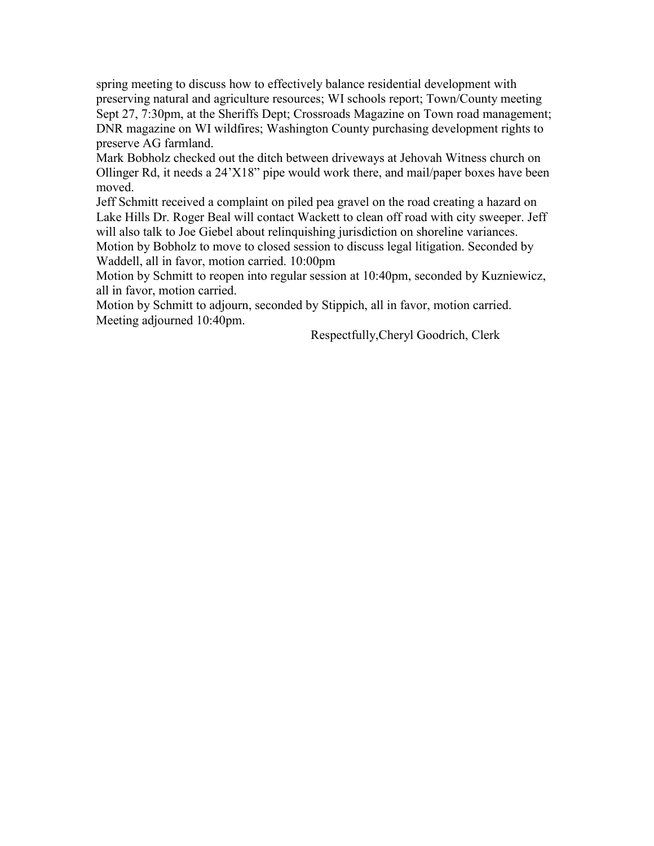spring meeting to discuss how to effectively balance residential development with preserving natural and agriculture resources; WI schools report; Town/County meeting Sept 27, 7:30pm, at the Sheriffs Dept; Crossroads Magazine on Town road management; DNR magazine on WI wildfires; Washington County purchasing development rights to preserve AG farmland.

Mark Bobholz checked out the ditch between driveways at Jehovah Witness church on Ollinger Rd, it needs a 24'X18" pipe would work there, and mail/paper boxes have been moved.

Jeff Schmitt received a complaint on piled pea gravel on the road creating a hazard on Lake Hills Dr. Roger Beal will contact Wackett to clean off road with city sweeper. Jeff will also talk to Joe Giebel about relinquishing jurisdiction on shoreline variances.

Motion by Bobholz to move to closed session to discuss legal litigation. Seconded by Waddell, all in favor, motion carried. 10:00pm

Motion by Schmitt to reopen into regular session at 10:40pm, seconded by Kuzniewicz, all in favor, motion carried.

Motion by Schmitt to adjourn, seconded by Stippich, all in favor, motion carried. Meeting adjourned 10:40pm.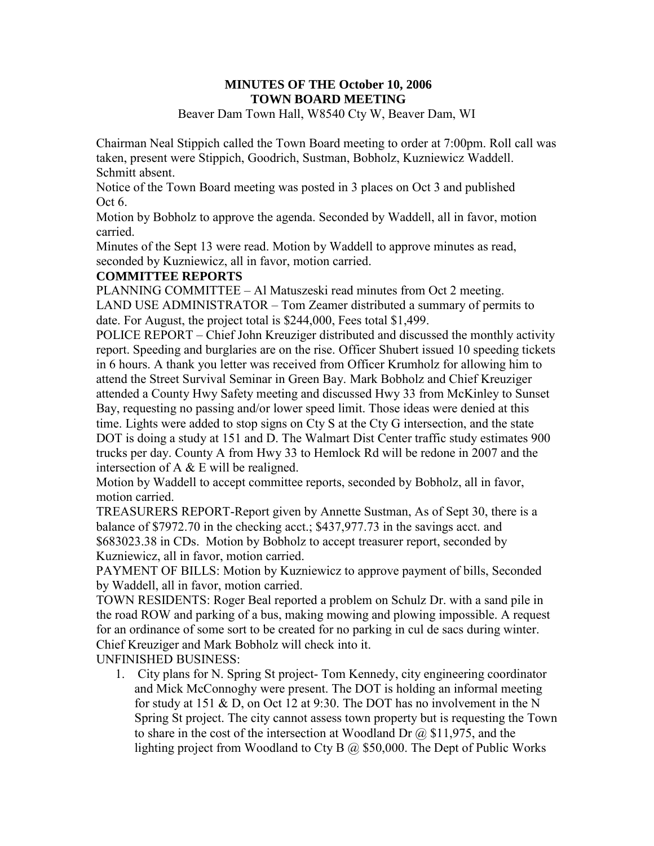# **MINUTES OF THE October 10, 2006 TOWN BOARD MEETING**

Beaver Dam Town Hall, W8540 Cty W, Beaver Dam, WI

Chairman Neal Stippich called the Town Board meeting to order at 7:00pm. Roll call was taken, present were Stippich, Goodrich, Sustman, Bobholz, Kuzniewicz Waddell. Schmitt absent.

Notice of the Town Board meeting was posted in 3 places on Oct 3 and published Oct 6.

Motion by Bobholz to approve the agenda. Seconded by Waddell, all in favor, motion carried.

Minutes of the Sept 13 were read. Motion by Waddell to approve minutes as read, seconded by Kuzniewicz, all in favor, motion carried.

### **COMMITTEE REPORTS**

PLANNING COMMITTEE – Al Matuszeski read minutes from Oct 2 meeting. LAND USE ADMINISTRATOR – Tom Zeamer distributed a summary of permits to date. For August, the project total is \$244,000, Fees total \$1,499.

POLICE REPORT – Chief John Kreuziger distributed and discussed the monthly activity report. Speeding and burglaries are on the rise. Officer Shubert issued 10 speeding tickets in 6 hours. A thank you letter was received from Officer Krumholz for allowing him to attend the Street Survival Seminar in Green Bay. Mark Bobholz and Chief Kreuziger attended a County Hwy Safety meeting and discussed Hwy 33 from McKinley to Sunset Bay, requesting no passing and/or lower speed limit. Those ideas were denied at this time. Lights were added to stop signs on Cty S at the Cty G intersection, and the state DOT is doing a study at 151 and D. The Walmart Dist Center traffic study estimates 900 trucks per day. County A from Hwy 33 to Hemlock Rd will be redone in 2007 and the intersection of A & E will be realigned.

Motion by Waddell to accept committee reports, seconded by Bobholz, all in favor, motion carried.

TREASURERS REPORT-Report given by Annette Sustman, As of Sept 30, there is a balance of \$7972.70 in the checking acct.; \$437,977.73 in the savings acct. and \$683023.38 in CDs. Motion by Bobholz to accept treasurer report, seconded by Kuzniewicz, all in favor, motion carried.

PAYMENT OF BILLS: Motion by Kuzniewicz to approve payment of bills, Seconded by Waddell, all in favor, motion carried.

TOWN RESIDENTS: Roger Beal reported a problem on Schulz Dr. with a sand pile in the road ROW and parking of a bus, making mowing and plowing impossible. A request for an ordinance of some sort to be created for no parking in cul de sacs during winter. Chief Kreuziger and Mark Bobholz will check into it.

UNFINISHED BUSINESS:

1. City plans for N. Spring St project- Tom Kennedy, city engineering coordinator and Mick McConnoghy were present. The DOT is holding an informal meeting for study at 151 & D, on Oct 12 at 9:30. The DOT has no involvement in the N Spring St project. The city cannot assess town property but is requesting the Town to share in the cost of the intersection at Woodland Dr  $(a)$  \$11,975, and the lighting project from Woodland to Cty B  $\omega$  \$50,000. The Dept of Public Works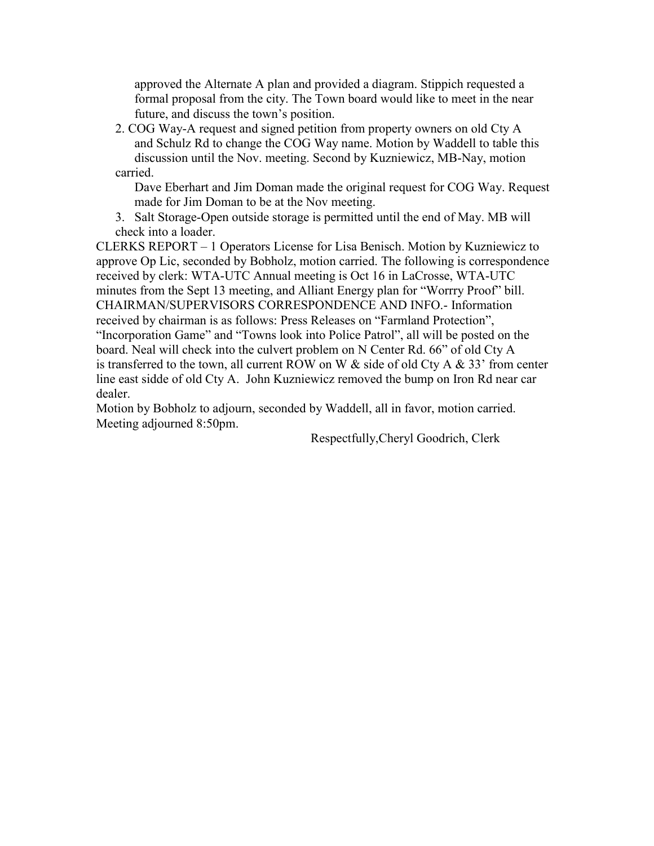approved the Alternate A plan and provided a diagram. Stippich requested a formal proposal from the city. The Town board would like to meet in the near future, and discuss the town's position.

2. COG Way-A request and signed petition from property owners on old Cty A and Schulz Rd to change the COG Way name. Motion by Waddell to table this discussion until the Nov. meeting. Second by Kuzniewicz, MB-Nay, motion carried.

Dave Eberhart and Jim Doman made the original request for COG Way. Request made for Jim Doman to be at the Nov meeting.

3. Salt Storage-Open outside storage is permitted until the end of May. MB will check into a loader.

CLERKS REPORT – 1 Operators License for Lisa Benisch. Motion by Kuzniewicz to approve Op Lic, seconded by Bobholz, motion carried. The following is correspondence received by clerk: WTA-UTC Annual meeting is Oct 16 in LaCrosse, WTA-UTC minutes from the Sept 13 meeting, and Alliant Energy plan for "Worrry Proof" bill. CHAIRMAN/SUPERVISORS CORRESPONDENCE AND INFO.- Information received by chairman is as follows: Press Releases on "Farmland Protection", "Incorporation Game" and "Towns look into Police Patrol", all will be posted on the board. Neal will check into the culvert problem on N Center Rd. 66" of old Cty A is transferred to the town, all current ROW on W  $\&$  side of old Cty A  $\&$  33' from center line east sidde of old Cty A. John Kuzniewicz removed the bump on Iron Rd near car dealer.

Motion by Bobholz to adjourn, seconded by Waddell, all in favor, motion carried. Meeting adjourned 8:50pm.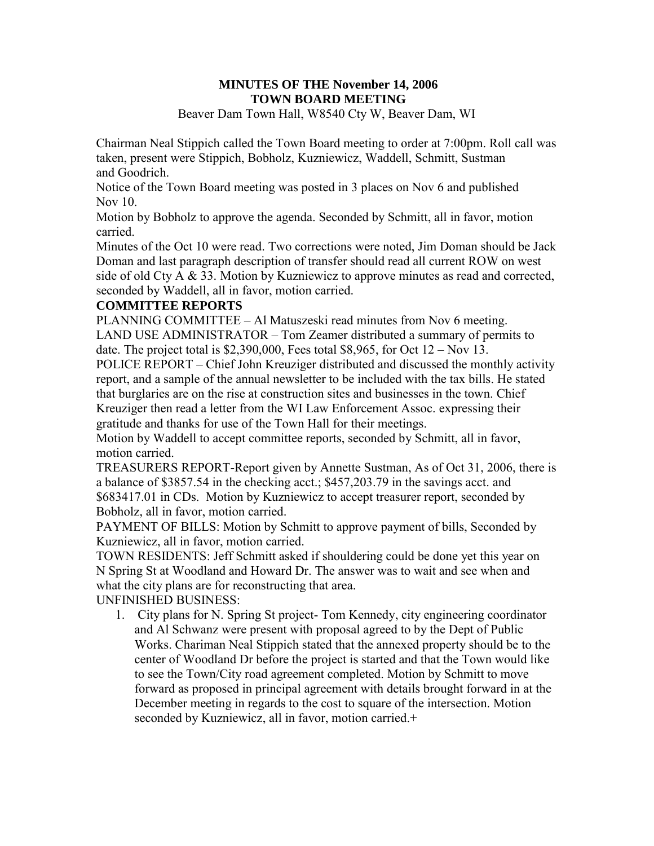# **MINUTES OF THE November 14, 2006 TOWN BOARD MEETING**

Beaver Dam Town Hall, W8540 Cty W, Beaver Dam, WI

Chairman Neal Stippich called the Town Board meeting to order at 7:00pm. Roll call was taken, present were Stippich, Bobholz, Kuzniewicz, Waddell, Schmitt, Sustman and Goodrich.

Notice of the Town Board meeting was posted in 3 places on Nov 6 and published Nov 10.

Motion by Bobholz to approve the agenda. Seconded by Schmitt, all in favor, motion carried.

Minutes of the Oct 10 were read. Two corrections were noted, Jim Doman should be Jack Doman and last paragraph description of transfer should read all current ROW on west side of old Cty A & 33. Motion by Kuzniewicz to approve minutes as read and corrected, seconded by Waddell, all in favor, motion carried.

## **COMMITTEE REPORTS**

PLANNING COMMITTEE – Al Matuszeski read minutes from Nov 6 meeting. LAND USE ADMINISTRATOR – Tom Zeamer distributed a summary of permits to date. The project total is  $$2,390,000$ , Fees total  $$8,965$ , for Oct  $12 - \text{Nov } 13$ .

POLICE REPORT – Chief John Kreuziger distributed and discussed the monthly activity report, and a sample of the annual newsletter to be included with the tax bills. He stated that burglaries are on the rise at construction sites and businesses in the town. Chief Kreuziger then read a letter from the WI Law Enforcement Assoc. expressing their gratitude and thanks for use of the Town Hall for their meetings.

Motion by Waddell to accept committee reports, seconded by Schmitt, all in favor, motion carried.

TREASURERS REPORT-Report given by Annette Sustman, As of Oct 31, 2006, there is a balance of \$3857.54 in the checking acct.; \$457,203.79 in the savings acct. and \$683417.01 in CDs. Motion by Kuzniewicz to accept treasurer report, seconded by Bobholz, all in favor, motion carried.

PAYMENT OF BILLS: Motion by Schmitt to approve payment of bills, Seconded by Kuzniewicz, all in favor, motion carried.

TOWN RESIDENTS: Jeff Schmitt asked if shouldering could be done yet this year on N Spring St at Woodland and Howard Dr. The answer was to wait and see when and what the city plans are for reconstructing that area.

UNFINISHED BUSINESS:

1. City plans for N. Spring St project- Tom Kennedy, city engineering coordinator and Al Schwanz were present with proposal agreed to by the Dept of Public Works. Chariman Neal Stippich stated that the annexed property should be to the center of Woodland Dr before the project is started and that the Town would like to see the Town/City road agreement completed. Motion by Schmitt to move forward as proposed in principal agreement with details brought forward in at the December meeting in regards to the cost to square of the intersection. Motion seconded by Kuzniewicz, all in favor, motion carried.+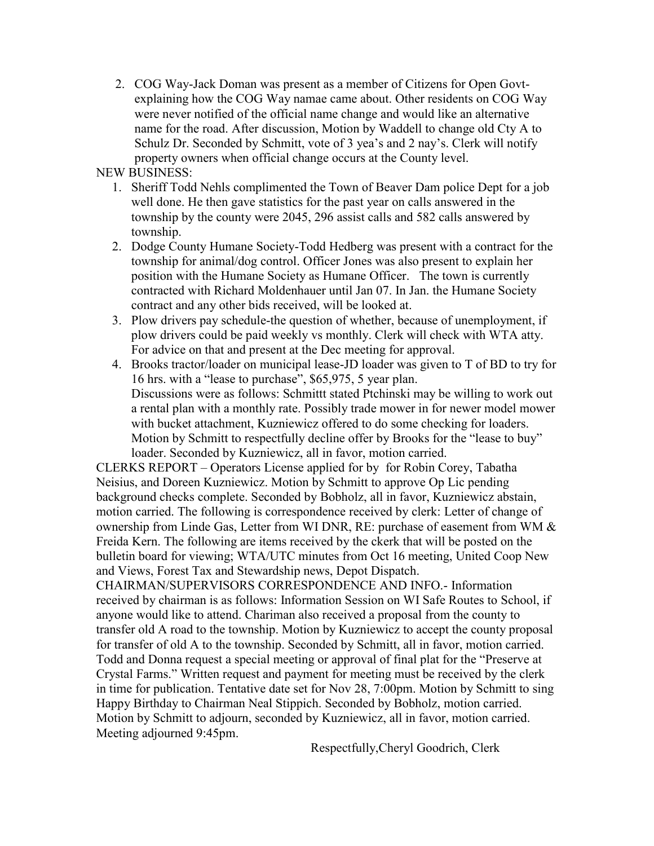2. COG Way-Jack Doman was present as a member of Citizens for Open Govtexplaining how the COG Way namae came about. Other residents on COG Way were never notified of the official name change and would like an alternative name for the road. After discussion, Motion by Waddell to change old Cty A to Schulz Dr. Seconded by Schmitt, vote of 3 yea's and 2 nay's. Clerk will notify property owners when official change occurs at the County level.

### NEW BUSINESS:

- 1. Sheriff Todd Nehls complimented the Town of Beaver Dam police Dept for a job well done. He then gave statistics for the past year on calls answered in the township by the county were 2045, 296 assist calls and 582 calls answered by township.
- 2. Dodge County Humane Society-Todd Hedberg was present with a contract for the township for animal/dog control. Officer Jones was also present to explain her position with the Humane Society as Humane Officer. The town is currently contracted with Richard Moldenhauer until Jan 07. In Jan. the Humane Society contract and any other bids received, will be looked at.
- 3. Plow drivers pay schedule-the question of whether, because of unemployment, if plow drivers could be paid weekly vs monthly. Clerk will check with WTA atty. For advice on that and present at the Dec meeting for approval.
- 4. Brooks tractor/loader on municipal lease-JD loader was given to T of BD to try for 16 hrs. with a "lease to purchase", \$65,975, 5 year plan. Discussions were as follows: Schmittt stated Ptchinski may be willing to work out a rental plan with a monthly rate. Possibly trade mower in for newer model mower with bucket attachment, Kuzniewicz offered to do some checking for loaders. Motion by Schmitt to respectfully decline offer by Brooks for the "lease to buy" loader. Seconded by Kuzniewicz, all in favor, motion carried.

CLERKS REPORT – Operators License applied for by for Robin Corey, Tabatha Neisius, and Doreen Kuzniewicz. Motion by Schmitt to approve Op Lic pending background checks complete. Seconded by Bobholz, all in favor, Kuzniewicz abstain, motion carried. The following is correspondence received by clerk: Letter of change of ownership from Linde Gas, Letter from WI DNR, RE: purchase of easement from WM & Freida Kern. The following are items received by the ckerk that will be posted on the bulletin board for viewing; WTA/UTC minutes from Oct 16 meeting, United Coop New and Views, Forest Tax and Stewardship news, Depot Dispatch.

CHAIRMAN/SUPERVISORS CORRESPONDENCE AND INFO.- Information received by chairman is as follows: Information Session on WI Safe Routes to School, if anyone would like to attend. Chariman also received a proposal from the county to transfer old A road to the township. Motion by Kuzniewicz to accept the county proposal for transfer of old A to the township. Seconded by Schmitt, all in favor, motion carried. Todd and Donna request a special meeting or approval of final plat for the "Preserve at Crystal Farms." Written request and payment for meeting must be received by the clerk in time for publication. Tentative date set for Nov 28, 7:00pm. Motion by Schmitt to sing Happy Birthday to Chairman Neal Stippich. Seconded by Bobholz, motion carried. Motion by Schmitt to adjourn, seconded by Kuzniewicz, all in favor, motion carried. Meeting adjourned 9:45pm.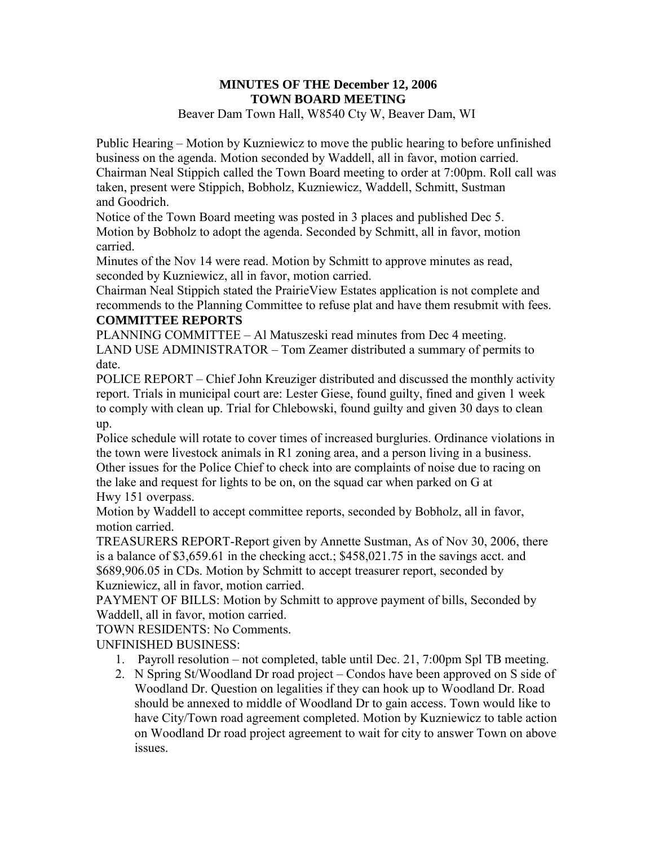### **MINUTES OF THE December 12, 2006 TOWN BOARD MEETING**  Beaver Dam Town Hall, W8540 Cty W, Beaver Dam, WI

Public Hearing – Motion by Kuzniewicz to move the public hearing to before unfinished business on the agenda. Motion seconded by Waddell, all in favor, motion carried. Chairman Neal Stippich called the Town Board meeting to order at 7:00pm. Roll call was taken, present were Stippich, Bobholz, Kuzniewicz, Waddell, Schmitt, Sustman and Goodrich.

Notice of the Town Board meeting was posted in 3 places and published Dec 5. Motion by Bobholz to adopt the agenda. Seconded by Schmitt, all in favor, motion carried.

Minutes of the Nov 14 were read. Motion by Schmitt to approve minutes as read, seconded by Kuzniewicz, all in favor, motion carried.

Chairman Neal Stippich stated the PrairieView Estates application is not complete and recommends to the Planning Committee to refuse plat and have them resubmit with fees. **COMMITTEE REPORTS** 

PLANNING COMMITTEE – Al Matuszeski read minutes from Dec 4 meeting. LAND USE ADMINISTRATOR – Tom Zeamer distributed a summary of permits to date.

POLICE REPORT – Chief John Kreuziger distributed and discussed the monthly activity report. Trials in municipal court are: Lester Giese, found guilty, fined and given 1 week to comply with clean up. Trial for Chlebowski, found guilty and given 30 days to clean up.

Police schedule will rotate to cover times of increased burgluries. Ordinance violations in the town were livestock animals in R1 zoning area, and a person living in a business. Other issues for the Police Chief to check into are complaints of noise due to racing on the lake and request for lights to be on, on the squad car when parked on G at Hwy 151 overpass.

Motion by Waddell to accept committee reports, seconded by Bobholz, all in favor, motion carried.

TREASURERS REPORT-Report given by Annette Sustman, As of Nov 30, 2006, there is a balance of \$3,659.61 in the checking acct.; \$458,021.75 in the savings acct. and \$689,906.05 in CDs. Motion by Schmitt to accept treasurer report, seconded by Kuzniewicz, all in favor, motion carried.

PAYMENT OF BILLS: Motion by Schmitt to approve payment of bills, Seconded by Waddell, all in favor, motion carried.

TOWN RESIDENTS: No Comments.

UNFINISHED BUSINESS:

- 1. Payroll resolution not completed, table until Dec. 21, 7:00pm Spl TB meeting.
- 2. N Spring St/Woodland Dr road project Condos have been approved on S side of Woodland Dr. Question on legalities if they can hook up to Woodland Dr. Road should be annexed to middle of Woodland Dr to gain access. Town would like to have City/Town road agreement completed. Motion by Kuzniewicz to table action on Woodland Dr road project agreement to wait for city to answer Town on above issues.